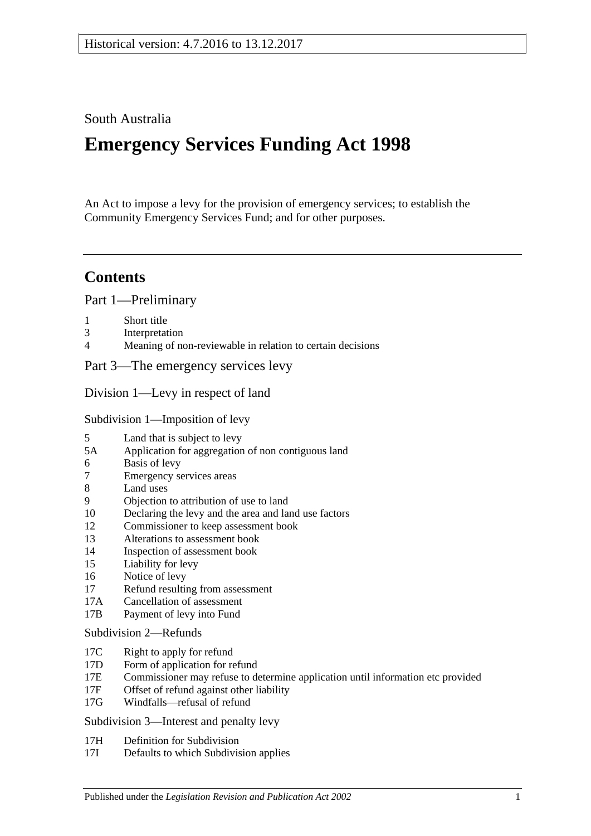# South Australia

# **Emergency Services Funding Act 1998**

An Act to impose a levy for the provision of emergency services; to establish the Community Emergency Services Fund; and for other purposes.

# **Contents**

[Part 1—Preliminary](#page-2-0)

- 1 [Short title](#page-2-1)
- 3 [Interpretation](#page-2-2)
- 4 [Meaning of non-reviewable in relation to certain decisions](#page-4-0)

[Part 3—The emergency services levy](#page-4-1)

[Division 1—Levy in respect of land](#page-4-2)

[Subdivision 1—Imposition of levy](#page-4-3)

- 5 [Land that is subject to levy](#page-4-4)
- 5A [Application for aggregation of non contiguous land](#page-6-0)
- 6 [Basis of levy](#page-6-1)
- 7 [Emergency services areas](#page-7-0)
- 8 [Land uses](#page-7-1)
- 9 [Objection to attribution of use to land](#page-8-0)
- 10 [Declaring the levy and the area and land use factors](#page-8-1)
- 12 [Commissioner to keep assessment book](#page-10-0)
- 13 [Alterations to assessment book](#page-11-0)
- 14 [Inspection of assessment book](#page-11-1)
- 15 [Liability for levy](#page-11-2)
- 16 [Notice of levy](#page-12-0)
- 17 [Refund resulting from assessment](#page-12-1)
- 17A [Cancellation of assessment](#page-12-2)
- 17B [Payment of levy into Fund](#page-12-3)

#### [Subdivision 2—Refunds](#page-13-0)

- 17C [Right to apply for refund](#page-13-1)
- 17D [Form of application for refund](#page-13-2)
- 17E [Commissioner may refuse to determine application until information etc provided](#page-13-3)
- 17F [Offset of refund against other liability](#page-13-4)
- 17G [Windfalls—refusal of refund](#page-14-0)

[Subdivision 3—Interest and penalty levy](#page-14-1)

- 17H [Definition for Subdivision](#page-14-2)
- 17I [Defaults to which Subdivision applies](#page-14-3)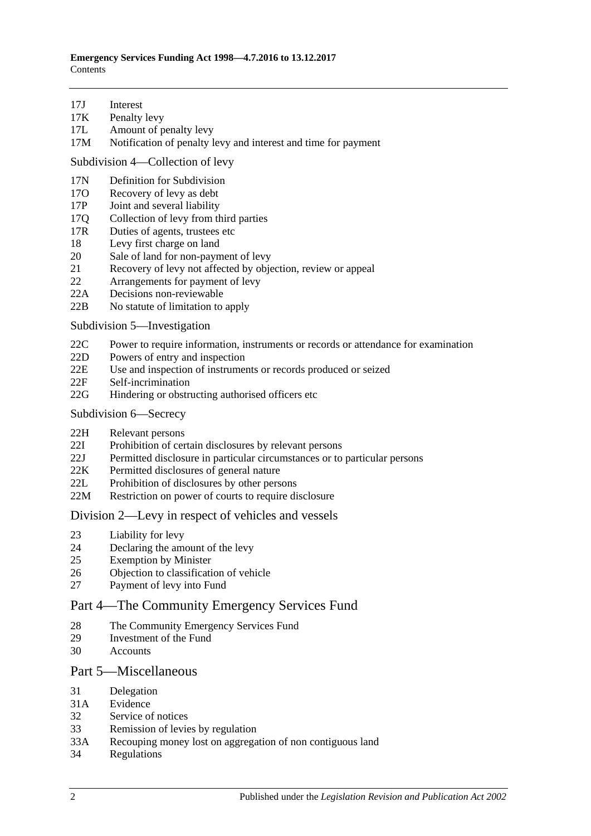- 17J [Interest](#page-14-4)
- 17K [Penalty levy](#page-15-0)
- 17L [Amount of penalty levy](#page-15-1)
- 17M [Notification of penalty levy and interest and time for payment](#page-15-2)

[Subdivision 4—Collection of levy](#page-16-0)

- 17N [Definition for](#page-16-1) Subdivision
- 17O [Recovery of levy as debt](#page-16-2)
- 17P [Joint and several liability](#page-16-3)
- 17Q [Collection of levy from third parties](#page-16-4)
- 17R [Duties of agents, trustees etc](#page-17-0)
- 18 [Levy first charge on land](#page-18-0)
- 20 [Sale of land for non-payment of levy](#page-18-1)
- 21 [Recovery of levy not affected by objection, review or appeal](#page-19-0)
- 22 [Arrangements for payment of levy](#page-20-0)
- 22A [Decisions non-reviewable](#page-20-1)
- 22B [No statute of limitation to apply](#page-20-2)

[Subdivision 5—Investigation](#page-20-3)

- 22C [Power to require information, instruments or records or attendance for examination](#page-20-4)
- 22D [Powers of entry and inspection](#page-21-0)
- 22E [Use and inspection of instruments or records produced or seized](#page-21-1)
- 22F [Self-incrimination](#page-22-0)
- 22G [Hindering or obstructing authorised officers etc](#page-22-1)
- [Subdivision 6—Secrecy](#page-22-2)
- 22H [Relevant persons](#page-22-3)
- 22I [Prohibition of certain disclosures by relevant persons](#page-23-0)
- 22J [Permitted disclosure in particular circumstances or to particular persons](#page-23-1)
- 22K [Permitted disclosures of general nature](#page-23-2)
- 22L [Prohibition of disclosures by other persons](#page-23-3)
- 22M [Restriction on power of courts to require disclosure](#page-24-0)

#### [Division 2—Levy in respect of vehicles and vessels](#page-24-1)

- 23 [Liability for levy](#page-24-2)
- 24 [Declaring the amount of the levy](#page-24-3)
- 25 [Exemption by Minister](#page-25-0)
- 26 [Objection to classification of vehicle](#page-25-1)
- 27 [Payment of levy into Fund](#page-26-0)

### [Part 4—The Community Emergency Services Fund](#page-26-1)

- 28 [The Community Emergency Services Fund](#page-26-2)
- 29 [Investment of the Fund](#page-27-0)
- 30 [Accounts](#page-27-1)

#### [Part 5—Miscellaneous](#page-27-2)

- 31 [Delegation](#page-27-3)<br>31A Evidence
- **[Evidence](#page-28-0)**
- 32 [Service of notices](#page-28-1)
- 33 [Remission of levies by regulation](#page-28-2)
- 33A [Recouping money lost on aggregation of non contiguous land](#page-29-0)
- 34 [Regulations](#page-29-1)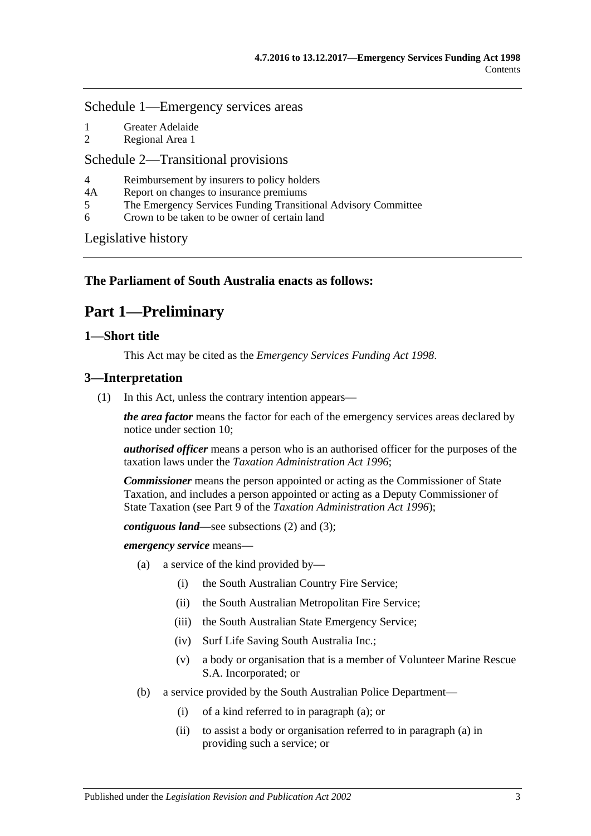#### [Schedule 1—Emergency services areas](#page-29-2)

- 1 [Greater Adelaide](#page-29-3)
- 2 [Regional Area 1](#page-30-0)

#### [Schedule 2—Transitional provisions](#page-30-1)

- 4 [Reimbursement by insurers to policy holders](#page-30-2)<br>44 Report on changes to insurance premiums
- [Report on changes to insurance premiums](#page-31-0)
- 5 [The Emergency Services Funding Transitional Advisory Committee](#page-31-1)
- 6 [Crown to be taken to be owner of certain land](#page-32-0)

[Legislative history](#page-34-0)

### <span id="page-2-0"></span>**The Parliament of South Australia enacts as follows:**

# **Part 1—Preliminary**

#### <span id="page-2-1"></span>**1—Short title**

This Act may be cited as the *Emergency Services Funding Act 1998*.

#### <span id="page-2-5"></span><span id="page-2-2"></span>**3—Interpretation**

(1) In this Act, unless the contrary intention appears—

*the area factor* means the factor for each of the emergency services areas declared by notice under [section](#page-8-1) 10;

*authorised officer* means a person who is an authorised officer for the purposes of the taxation laws under the *[Taxation Administration Act](http://www.legislation.sa.gov.au/index.aspx?action=legref&type=act&legtitle=Taxation%20Administration%20Act%201996) 1996*;

*Commissioner* means the person appointed or acting as the Commissioner of State Taxation, and includes a person appointed or acting as a Deputy Commissioner of State Taxation (see Part 9 of the *[Taxation Administration Act](http://www.legislation.sa.gov.au/index.aspx?action=legref&type=act&legtitle=Taxation%20Administration%20Act%201996) 1996*);

*contiguous land*—see [subsections](#page-4-5) (2) and [\(3\);](#page-4-6)

<span id="page-2-3"></span>*emergency service* means—

- (a) a service of the kind provided by—
	- (i) the South Australian Country Fire Service;
	- (ii) the South Australian Metropolitan Fire Service;
	- (iii) the South Australian State Emergency Service;
	- (iv) Surf Life Saving South Australia Inc.;
	- (v) a body or organisation that is a member of Volunteer Marine Rescue S.A. Incorporated; or
- <span id="page-2-4"></span>(b) a service provided by the South Australian Police Department—
	- (i) of a kind referred to in [paragraph](#page-2-3) (a); or
	- (ii) to assist a body or organisation referred to in [paragraph](#page-2-3) (a) in providing such a service; or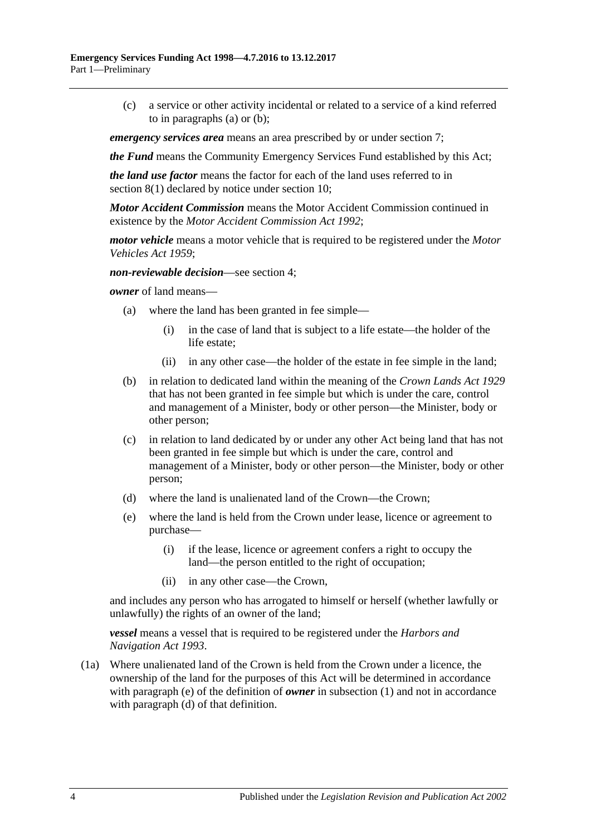(c) a service or other activity incidental or related to a service of a kind referred to in [paragraphs](#page-2-3) (a) or [\(b\);](#page-2-4)

*emergency services area* means an area prescribed by or under [section](#page-7-0) 7;

*the Fund* means the Community Emergency Services Fund established by this Act;

*the land use factor* means the factor for each of the land uses referred to in [section](#page-7-2) 8(1) declared by notice under [section](#page-8-1) 10;

*Motor Accident Commission* means the Motor Accident Commission continued in existence by the *[Motor Accident Commission Act](http://www.legislation.sa.gov.au/index.aspx?action=legref&type=act&legtitle=Motor%20Accident%20Commission%20Act%201992) 1992*;

*motor vehicle* means a motor vehicle that is required to be registered under the *[Motor](http://www.legislation.sa.gov.au/index.aspx?action=legref&type=act&legtitle=Motor%20Vehicles%20Act%201959)  [Vehicles Act](http://www.legislation.sa.gov.au/index.aspx?action=legref&type=act&legtitle=Motor%20Vehicles%20Act%201959) 1959*;

*non-reviewable decision*—see [section](#page-4-0) 4;

*owner* of land means—

- (a) where the land has been granted in fee simple—
	- (i) in the case of land that is subject to a life estate—the holder of the life estate;
	- (ii) in any other case—the holder of the estate in fee simple in the land;
- (b) in relation to dedicated land within the meaning of the *[Crown Lands Act](http://www.legislation.sa.gov.au/index.aspx?action=legref&type=act&legtitle=Crown%20Lands%20Act%201929) 1929* that has not been granted in fee simple but which is under the care, control and management of a Minister, body or other person—the Minister, body or other person;
- (c) in relation to land dedicated by or under any other Act being land that has not been granted in fee simple but which is under the care, control and management of a Minister, body or other person—the Minister, body or other person;
- <span id="page-3-1"></span>(d) where the land is unalienated land of the Crown—the Crown;
- <span id="page-3-0"></span>(e) where the land is held from the Crown under lease, licence or agreement to purchase—
	- (i) if the lease, licence or agreement confers a right to occupy the land—the person entitled to the right of occupation;
	- (ii) in any other case—the Crown,

and includes any person who has arrogated to himself or herself (whether lawfully or unlawfully) the rights of an owner of the land;

*vessel* means a vessel that is required to be registered under the *[Harbors and](http://www.legislation.sa.gov.au/index.aspx?action=legref&type=act&legtitle=Harbors%20and%20Navigation%20Act%201993)  [Navigation Act](http://www.legislation.sa.gov.au/index.aspx?action=legref&type=act&legtitle=Harbors%20and%20Navigation%20Act%201993) 1993*.

(1a) Where unalienated land of the Crown is held from the Crown under a licence, the ownership of the land for the purposes of this Act will be determined in accordance with [paragraph](#page-3-0) (e) of the definition of *owner* in [subsection](#page-2-5) (1) and not in accordance with [paragraph](#page-3-1) (d) of that definition.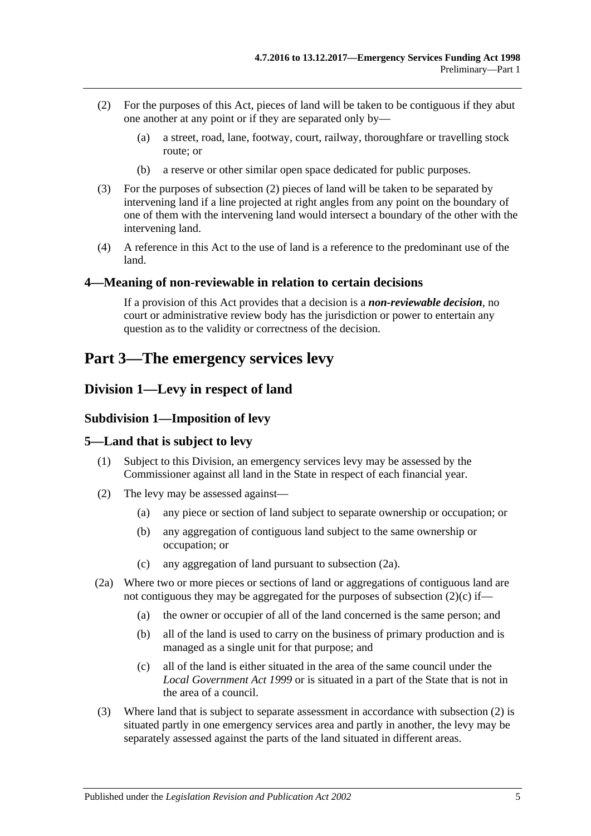- <span id="page-4-5"></span>(2) For the purposes of this Act, pieces of land will be taken to be contiguous if they abut one another at any point or if they are separated only by—
	- (a) a street, road, lane, footway, court, railway, thoroughfare or travelling stock route; or
	- (b) a reserve or other similar open space dedicated for public purposes.
- <span id="page-4-6"></span>(3) For the purposes of [subsection](#page-4-5) (2) pieces of land will be taken to be separated by intervening land if a line projected at right angles from any point on the boundary of one of them with the intervening land would intersect a boundary of the other with the intervening land.
- (4) A reference in this Act to the use of land is a reference to the predominant use of the land.

#### <span id="page-4-0"></span>**4—Meaning of non-reviewable in relation to certain decisions**

If a provision of this Act provides that a decision is a *non-reviewable decision*, no court or administrative review body has the jurisdiction or power to entertain any question as to the validity or correctness of the decision.

# <span id="page-4-1"></span>**Part 3—The emergency services levy**

# <span id="page-4-3"></span><span id="page-4-2"></span>**Division 1—Levy in respect of land**

#### **Subdivision 1—Imposition of levy**

#### <span id="page-4-4"></span>**5—Land that is subject to levy**

- (1) Subject to this Division, an emergency services levy may be assessed by the Commissioner against all land in the State in respect of each financial year.
- <span id="page-4-9"></span>(2) The levy may be assessed against—
	- (a) any piece or section of land subject to separate ownership or occupation; or
	- (b) any aggregation of contiguous land subject to the same ownership or occupation; or
	- (c) any aggregation of land pursuant to [subsection](#page-4-7) (2a).
- <span id="page-4-8"></span><span id="page-4-7"></span>(2a) Where two or more pieces or sections of land or aggregations of contiguous land are not contiguous they may be aggregated for the purposes of [subsection](#page-4-8)  $(2)(c)$  if—
	- (a) the owner or occupier of all of the land concerned is the same person; and
	- (b) all of the land is used to carry on the business of primary production and is managed as a single unit for that purpose; and
	- (c) all of the land is either situated in the area of the same council under the *[Local Government Act](http://www.legislation.sa.gov.au/index.aspx?action=legref&type=act&legtitle=Local%20Government%20Act%201999) 1999* or is situated in a part of the State that is not in the area of a council.
- (3) Where land that is subject to separate assessment in accordance with [subsection](#page-4-9) (2) is situated partly in one emergency services area and partly in another, the levy may be separately assessed against the parts of the land situated in different areas.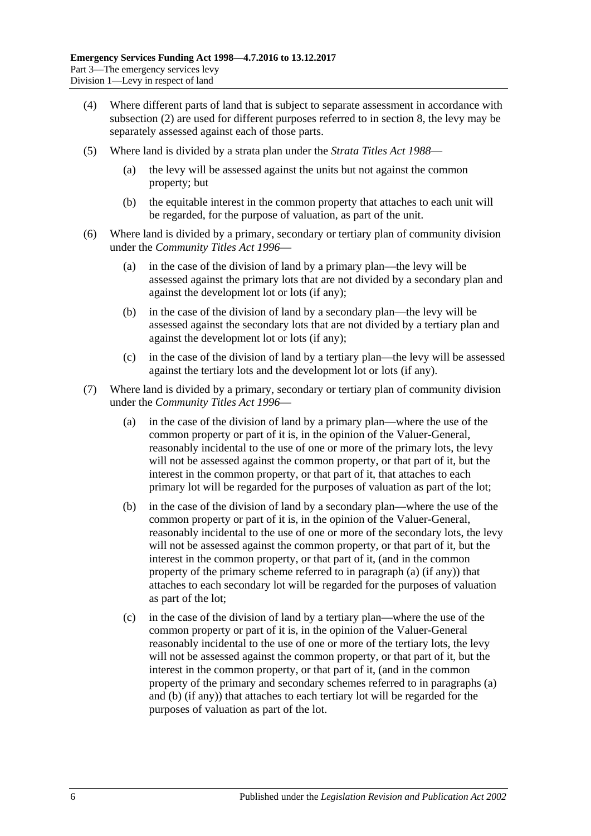- (4) Where different parts of land that is subject to separate assessment in accordance with [subsection](#page-4-9) (2) are used for different purposes referred to in [section](#page-7-1) 8, the levy may be separately assessed against each of those parts.
- (5) Where land is divided by a strata plan under the *[Strata Titles Act](http://www.legislation.sa.gov.au/index.aspx?action=legref&type=act&legtitle=Strata%20Titles%20Act%201988) 1988*
	- the levy will be assessed against the units but not against the common property; but
	- (b) the equitable interest in the common property that attaches to each unit will be regarded, for the purpose of valuation, as part of the unit.
- (6) Where land is divided by a primary, secondary or tertiary plan of community division under the *[Community Titles Act](http://www.legislation.sa.gov.au/index.aspx?action=legref&type=act&legtitle=Community%20Titles%20Act%201996) 1996*—
	- (a) in the case of the division of land by a primary plan—the levy will be assessed against the primary lots that are not divided by a secondary plan and against the development lot or lots (if any);
	- (b) in the case of the division of land by a secondary plan—the levy will be assessed against the secondary lots that are not divided by a tertiary plan and against the development lot or lots (if any);
	- (c) in the case of the division of land by a tertiary plan—the levy will be assessed against the tertiary lots and the development lot or lots (if any).
- <span id="page-5-1"></span><span id="page-5-0"></span>(7) Where land is divided by a primary, secondary or tertiary plan of community division under the *[Community Titles Act](http://www.legislation.sa.gov.au/index.aspx?action=legref&type=act&legtitle=Community%20Titles%20Act%201996) 1996*—
	- (a) in the case of the division of land by a primary plan—where the use of the common property or part of it is, in the opinion of the Valuer-General, reasonably incidental to the use of one or more of the primary lots, the levy will not be assessed against the common property, or that part of it, but the interest in the common property, or that part of it, that attaches to each primary lot will be regarded for the purposes of valuation as part of the lot;
	- (b) in the case of the division of land by a secondary plan—where the use of the common property or part of it is, in the opinion of the Valuer-General, reasonably incidental to the use of one or more of the secondary lots, the levy will not be assessed against the common property, or that part of it, but the interest in the common property, or that part of it, (and in the common property of the primary scheme referred to in [paragraph](#page-5-0) (a) (if any)) that attaches to each secondary lot will be regarded for the purposes of valuation as part of the lot;
	- (c) in the case of the division of land by a tertiary plan—where the use of the common property or part of it is, in the opinion of the Valuer-General reasonably incidental to the use of one or more of the tertiary lots, the levy will not be assessed against the common property, or that part of it, but the interest in the common property, or that part of it, (and in the common property of the primary and secondary schemes referred to in [paragraphs](#page-5-0) (a) and [\(b\)](#page-5-1) (if any)) that attaches to each tertiary lot will be regarded for the purposes of valuation as part of the lot.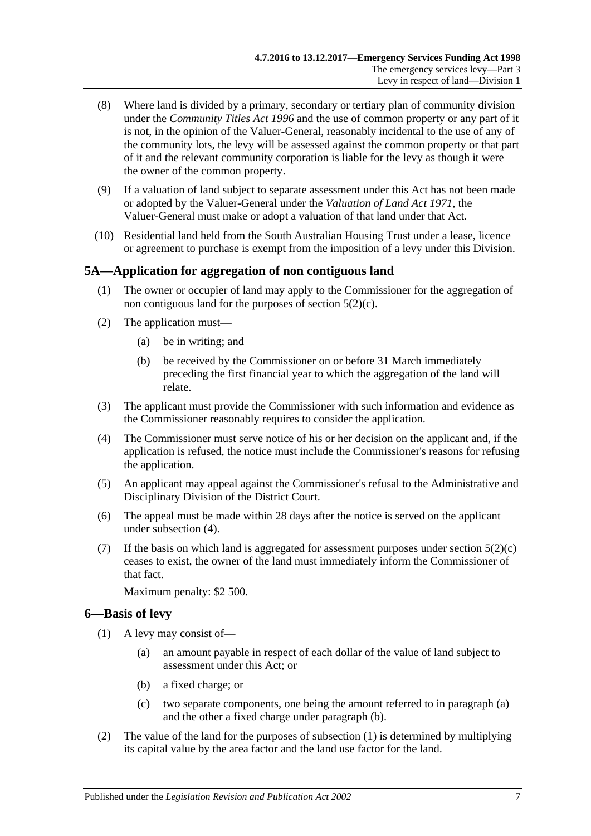- (8) Where land is divided by a primary, secondary or tertiary plan of community division under the *[Community Titles Act](http://www.legislation.sa.gov.au/index.aspx?action=legref&type=act&legtitle=Community%20Titles%20Act%201996) 1996* and the use of common property or any part of it is not, in the opinion of the Valuer-General, reasonably incidental to the use of any of the community lots, the levy will be assessed against the common property or that part of it and the relevant community corporation is liable for the levy as though it were the owner of the common property.
- (9) If a valuation of land subject to separate assessment under this Act has not been made or adopted by the Valuer-General under the *[Valuation of Land Act](http://www.legislation.sa.gov.au/index.aspx?action=legref&type=act&legtitle=Valuation%20of%20Land%20Act%201971) 1971*, the Valuer-General must make or adopt a valuation of that land under that Act.
- (10) Residential land held from the South Australian Housing Trust under a lease, licence or agreement to purchase is exempt from the imposition of a levy under this Division.

# <span id="page-6-0"></span>**5A—Application for aggregation of non contiguous land**

- (1) The owner or occupier of land may apply to the Commissioner for the aggregation of non contiguous land for the purposes of [section](#page-4-8) 5(2)(c).
- (2) The application must—
	- (a) be in writing; and
	- (b) be received by the Commissioner on or before 31 March immediately preceding the first financial year to which the aggregation of the land will relate.
- (3) The applicant must provide the Commissioner with such information and evidence as the Commissioner reasonably requires to consider the application.
- <span id="page-6-2"></span>(4) The Commissioner must serve notice of his or her decision on the applicant and, if the application is refused, the notice must include the Commissioner's reasons for refusing the application.
- (5) An applicant may appeal against the Commissioner's refusal to the Administrative and Disciplinary Division of the District Court.
- (6) The appeal must be made within 28 days after the notice is served on the applicant under [subsection](#page-6-2) (4).
- (7) If the basis on which land is aggregated for assessment purposes under [section](#page-4-8)  $5(2)(c)$ ceases to exist, the owner of the land must immediately inform the Commissioner of that fact.

Maximum penalty: \$2 500.

### <span id="page-6-5"></span><span id="page-6-1"></span>**6—Basis of levy**

- <span id="page-6-4"></span><span id="page-6-3"></span>(1) A levy may consist of—
	- (a) an amount payable in respect of each dollar of the value of land subject to assessment under this Act; or
	- (b) a fixed charge; or
	- (c) two separate components, one being the amount referred to in [paragraph](#page-6-3) (a) and the other a fixed charge under [paragraph](#page-6-4) (b).
- <span id="page-6-6"></span>(2) The value of the land for the purposes of [subsection](#page-6-5) (1) is determined by multiplying its capital value by the area factor and the land use factor for the land.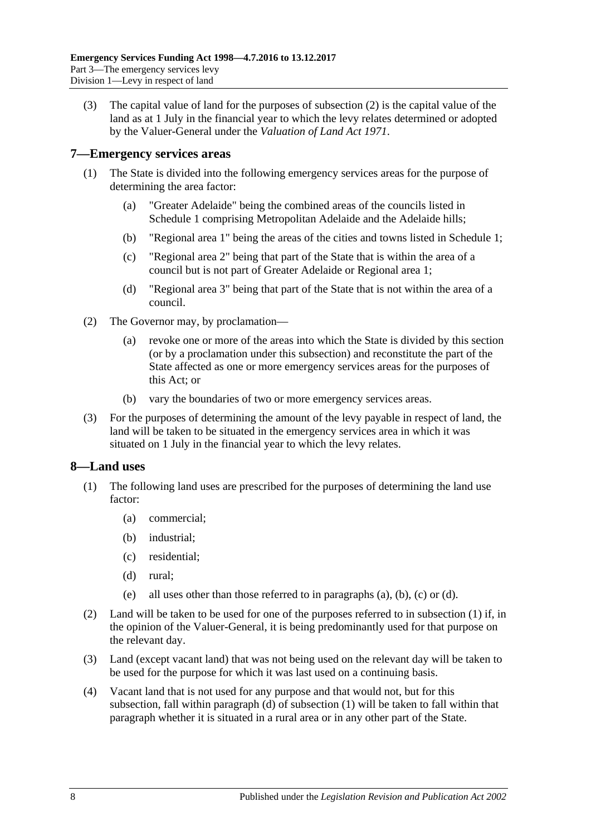(3) The capital value of land for the purposes of [subsection](#page-6-6) (2) is the capital value of the land as at 1 July in the financial year to which the levy relates determined or adopted by the Valuer-General under the *[Valuation of Land Act](http://www.legislation.sa.gov.au/index.aspx?action=legref&type=act&legtitle=Valuation%20of%20Land%20Act%201971) 1971*.

#### <span id="page-7-0"></span>**7—Emergency services areas**

- (1) The State is divided into the following emergency services areas for the purpose of determining the area factor:
	- (a) "Greater Adelaide" being the combined areas of the councils listed in [Schedule 1](#page-29-2) comprising Metropolitan Adelaide and the Adelaide hills;
	- (b) "Regional area 1" being the areas of the cities and towns listed in [Schedule 1;](#page-29-2)
	- (c) "Regional area 2" being that part of the State that is within the area of a council but is not part of Greater Adelaide or Regional area 1;
	- (d) "Regional area 3" being that part of the State that is not within the area of a council.
- (2) The Governor may, by proclamation—
	- (a) revoke one or more of the areas into which the State is divided by this section (or by a proclamation under this subsection) and reconstitute the part of the State affected as one or more emergency services areas for the purposes of this Act; or
	- (b) vary the boundaries of two or more emergency services areas.
- (3) For the purposes of determining the amount of the levy payable in respect of land, the land will be taken to be situated in the emergency services area in which it was situated on 1 July in the financial year to which the levy relates.

#### <span id="page-7-2"></span><span id="page-7-1"></span>**8—Land uses**

- <span id="page-7-5"></span><span id="page-7-4"></span><span id="page-7-3"></span>(1) The following land uses are prescribed for the purposes of determining the land use factor:
	- (a) commercial;
	- (b) industrial;
	- (c) residential;
	- (d) rural;
	- (e) all uses other than those referred to in [paragraphs](#page-7-3) (a), [\(b\),](#page-7-4) [\(c\)](#page-7-5) or [\(d\).](#page-7-6)
- <span id="page-7-6"></span>(2) Land will be taken to be used for one of the purposes referred to in [subsection](#page-7-2) (1) if, in the opinion of the Valuer-General, it is being predominantly used for that purpose on the relevant day.
- (3) Land (except vacant land) that was not being used on the relevant day will be taken to be used for the purpose for which it was last used on a continuing basis.
- (4) Vacant land that is not used for any purpose and that would not, but for this subsection, fall within [paragraph](#page-7-6) (d) of [subsection](#page-7-2) (1) will be taken to fall within that paragraph whether it is situated in a rural area or in any other part of the State.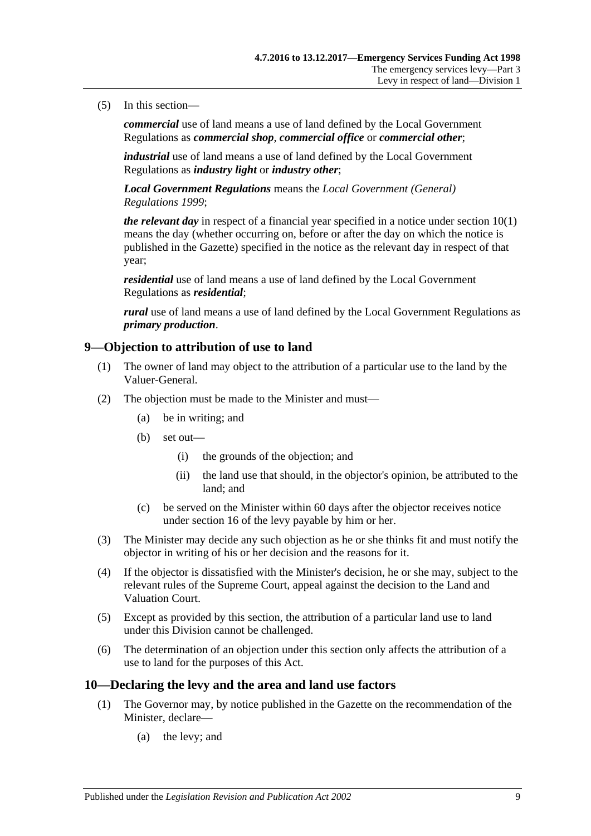#### (5) In this section—

*commercial* use of land means a use of land defined by the Local Government Regulations as *commercial shop*, *commercial office* or *commercial other*;

*industrial* use of land means a use of land defined by the Local Government Regulations as *industry light* or *industry other*;

*Local Government Regulations* means the *[Local Government \(General\)](http://www.legislation.sa.gov.au/index.aspx?action=legref&type=act&legtitle=Local%20Government%20(General)%20Regulations%201999)  [Regulations](http://www.legislation.sa.gov.au/index.aspx?action=legref&type=act&legtitle=Local%20Government%20(General)%20Regulations%201999) 1999*;

*the relevant day* in respect of a financial year specified in a notice under [section](#page-8-2) 10(1) means the day (whether occurring on, before or after the day on which the notice is published in the Gazette) specified in the notice as the relevant day in respect of that year;

*residential* use of land means a use of land defined by the Local Government Regulations as *residential*;

*rural* use of land means a use of land defined by the Local Government Regulations as *primary production*.

#### <span id="page-8-0"></span>**9—Objection to attribution of use to land**

- (1) The owner of land may object to the attribution of a particular use to the land by the Valuer-General.
- (2) The objection must be made to the Minister and must—
	- (a) be in writing; and
	- (b) set out—
		- (i) the grounds of the objection; and
		- (ii) the land use that should, in the objector's opinion, be attributed to the land; and
	- (c) be served on the Minister within 60 days after the objector receives notice under [section](#page-12-0) 16 of the levy payable by him or her.
- (3) The Minister may decide any such objection as he or she thinks fit and must notify the objector in writing of his or her decision and the reasons for it.
- (4) If the objector is dissatisfied with the Minister's decision, he or she may, subject to the relevant rules of the Supreme Court, appeal against the decision to the Land and Valuation Court.
- (5) Except as provided by this section, the attribution of a particular land use to land under this Division cannot be challenged.
- (6) The determination of an objection under this section only affects the attribution of a use to land for the purposes of this Act.

#### <span id="page-8-2"></span><span id="page-8-1"></span>**10—Declaring the levy and the area and land use factors**

- (1) The Governor may, by notice published in the Gazette on the recommendation of the Minister, declare—
	- (a) the levy; and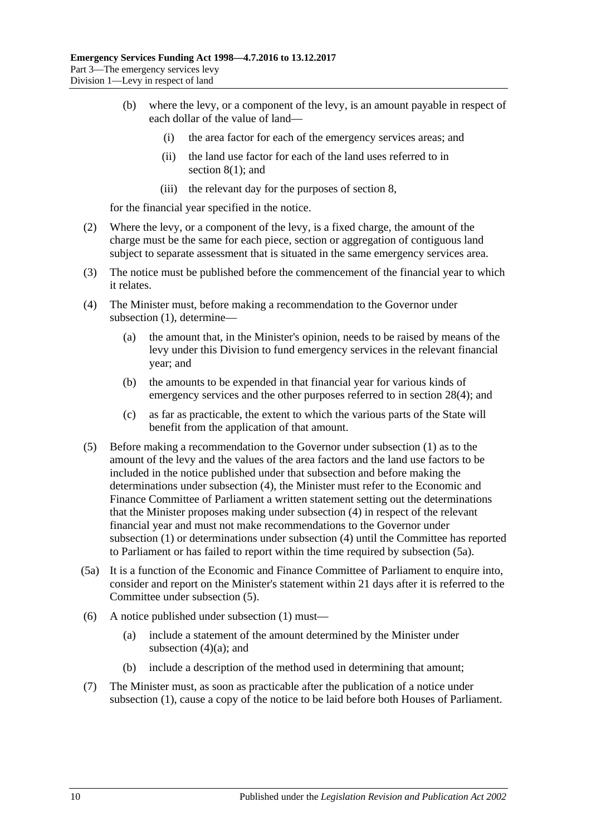- (b) where the levy, or a component of the levy, is an amount payable in respect of each dollar of the value of land—
	- (i) the area factor for each of the emergency services areas; and
	- (ii) the land use factor for each of the land uses referred to in [section](#page-7-2) 8(1); and
	- (iii) the relevant day for the purposes of [section](#page-7-1) 8,

for the financial year specified in the notice.

- (2) Where the levy, or a component of the levy, is a fixed charge, the amount of the charge must be the same for each piece, section or aggregation of contiguous land subject to separate assessment that is situated in the same emergency services area.
- (3) The notice must be published before the commencement of the financial year to which it relates.
- <span id="page-9-3"></span><span id="page-9-0"></span>(4) The Minister must, before making a recommendation to the Governor under [subsection](#page-8-2) (1), determine—
	- (a) the amount that, in the Minister's opinion, needs to be raised by means of the levy under this Division to fund emergency services in the relevant financial year; and
	- (b) the amounts to be expended in that financial year for various kinds of emergency services and the other purposes referred to in [section](#page-26-3) 28(4); and
	- (c) as far as practicable, the extent to which the various parts of the State will benefit from the application of that amount.
- <span id="page-9-2"></span>(5) Before making a recommendation to the Governor under [subsection](#page-8-2) (1) as to the amount of the levy and the values of the area factors and the land use factors to be included in the notice published under that subsection and before making the determinations under [subsection](#page-9-0) (4), the Minister must refer to the Economic and Finance Committee of Parliament a written statement setting out the determinations that the Minister proposes making under [subsection](#page-9-0) (4) in respect of the relevant financial year and must not make recommendations to the Governor under [subsection](#page-8-2) (1) or determinations under [subsection](#page-9-0) (4) until the Committee has reported to Parliament or has failed to report within the time required by [subsection](#page-9-1) (5a).
- <span id="page-9-1"></span>(5a) It is a function of the Economic and Finance Committee of Parliament to enquire into, consider and report on the Minister's statement within 21 days after it is referred to the Committee under [subsection](#page-9-2) (5).
- (6) A notice published under [subsection](#page-8-2) (1) must—
	- (a) include a statement of the amount determined by the Minister under [subsection](#page-9-3)  $(4)(a)$ ; and
	- (b) include a description of the method used in determining that amount;
- (7) The Minister must, as soon as practicable after the publication of a notice under [subsection](#page-8-2) (1), cause a copy of the notice to be laid before both Houses of Parliament.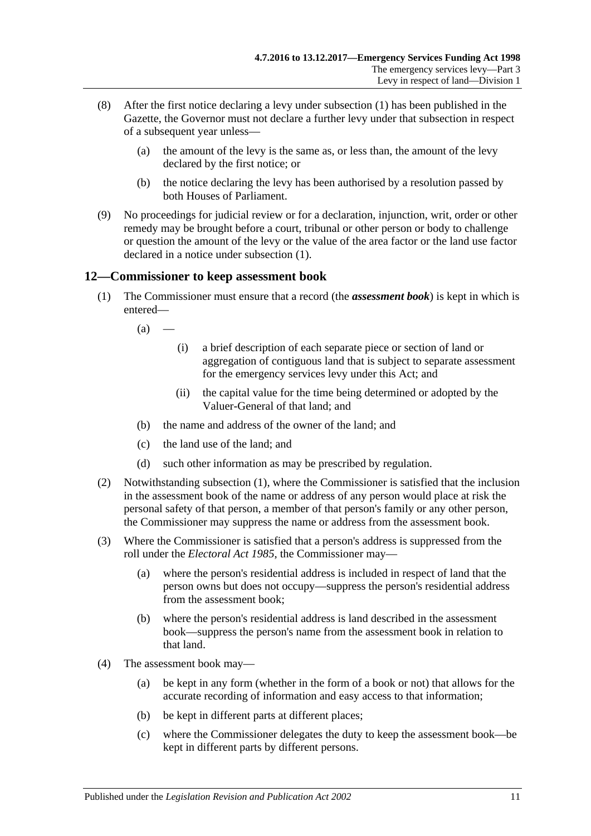- (8) After the first notice declaring a levy under [subsection](#page-8-2) (1) has been published in the Gazette, the Governor must not declare a further levy under that subsection in respect of a subsequent year unless—
	- (a) the amount of the levy is the same as, or less than, the amount of the levy declared by the first notice; or
	- (b) the notice declaring the levy has been authorised by a resolution passed by both Houses of Parliament.
- (9) No proceedings for judicial review or for a declaration, injunction, writ, order or other remedy may be brought before a court, tribunal or other person or body to challenge or question the amount of the levy or the value of the area factor or the land use factor declared in a notice under [subsection](#page-8-2) (1).

### <span id="page-10-1"></span><span id="page-10-0"></span>**12—Commissioner to keep assessment book**

- (1) The Commissioner must ensure that a record (the *assessment book*) is kept in which is entered—
	- $(a)$ 
		- (i) a brief description of each separate piece or section of land or aggregation of contiguous land that is subject to separate assessment for the emergency services levy under this Act; and
		- (ii) the capital value for the time being determined or adopted by the Valuer-General of that land; and
	- (b) the name and address of the owner of the land; and
	- (c) the land use of the land; and
	- (d) such other information as may be prescribed by regulation.
- (2) Notwithstanding [subsection](#page-10-1) (1), where the Commissioner is satisfied that the inclusion in the assessment book of the name or address of any person would place at risk the personal safety of that person, a member of that person's family or any other person, the Commissioner may suppress the name or address from the assessment book.
- (3) Where the Commissioner is satisfied that a person's address is suppressed from the roll under the *[Electoral Act](http://www.legislation.sa.gov.au/index.aspx?action=legref&type=act&legtitle=Electoral%20Act%201985) 1985*, the Commissioner may—
	- (a) where the person's residential address is included in respect of land that the person owns but does not occupy—suppress the person's residential address from the assessment book;
	- (b) where the person's residential address is land described in the assessment book—suppress the person's name from the assessment book in relation to that land.
- (4) The assessment book may—
	- (a) be kept in any form (whether in the form of a book or not) that allows for the accurate recording of information and easy access to that information;
	- (b) be kept in different parts at different places;
	- (c) where the Commissioner delegates the duty to keep the assessment book—be kept in different parts by different persons.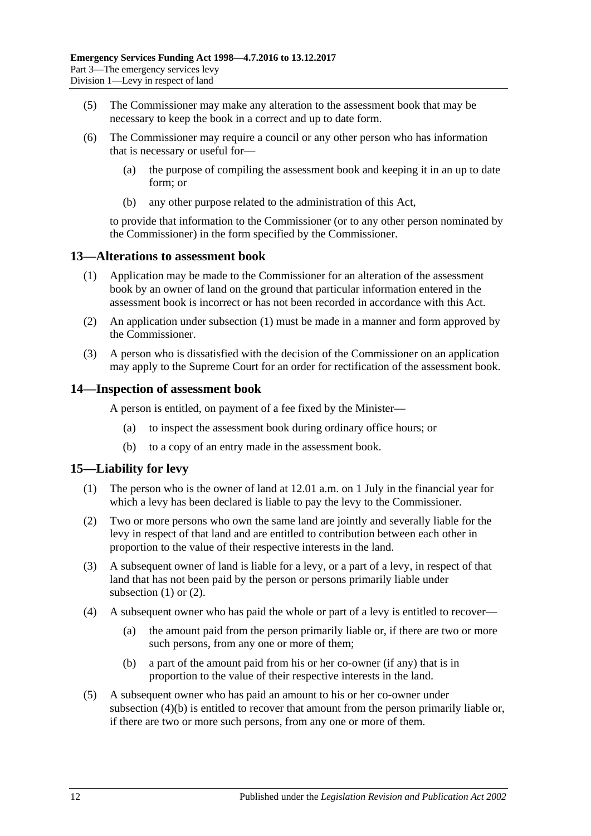- (5) The Commissioner may make any alteration to the assessment book that may be necessary to keep the book in a correct and up to date form.
- (6) The Commissioner may require a council or any other person who has information that is necessary or useful for—
	- (a) the purpose of compiling the assessment book and keeping it in an up to date form; or
	- (b) any other purpose related to the administration of this Act,

to provide that information to the Commissioner (or to any other person nominated by the Commissioner) in the form specified by the Commissioner.

#### <span id="page-11-3"></span><span id="page-11-0"></span>**13—Alterations to assessment book**

- (1) Application may be made to the Commissioner for an alteration of the assessment book by an owner of land on the ground that particular information entered in the assessment book is incorrect or has not been recorded in accordance with this Act.
- (2) An application under [subsection](#page-11-3) (1) must be made in a manner and form approved by the Commissioner.
- (3) A person who is dissatisfied with the decision of the Commissioner on an application may apply to the Supreme Court for an order for rectification of the assessment book.

#### <span id="page-11-1"></span>**14—Inspection of assessment book**

A person is entitled, on payment of a fee fixed by the Minister—

- (a) to inspect the assessment book during ordinary office hours; or
- (b) to a copy of an entry made in the assessment book.

### <span id="page-11-4"></span><span id="page-11-2"></span>**15—Liability for levy**

- (1) The person who is the owner of land at 12.01 a.m. on 1 July in the financial year for which a levy has been declared is liable to pay the levy to the Commissioner.
- <span id="page-11-5"></span>(2) Two or more persons who own the same land are jointly and severally liable for the levy in respect of that land and are entitled to contribution between each other in proportion to the value of their respective interests in the land.
- (3) A subsequent owner of land is liable for a levy, or a part of a levy, in respect of that land that has not been paid by the person or persons primarily liable under [subsection](#page-11-4)  $(1)$  or  $(2)$ .
- (4) A subsequent owner who has paid the whole or part of a levy is entitled to recover—
	- (a) the amount paid from the person primarily liable or, if there are two or more such persons, from any one or more of them;
	- (b) a part of the amount paid from his or her co-owner (if any) that is in proportion to the value of their respective interests in the land.
- <span id="page-11-6"></span>(5) A subsequent owner who has paid an amount to his or her co-owner under [subsection](#page-11-6) (4)(b) is entitled to recover that amount from the person primarily liable or, if there are two or more such persons, from any one or more of them.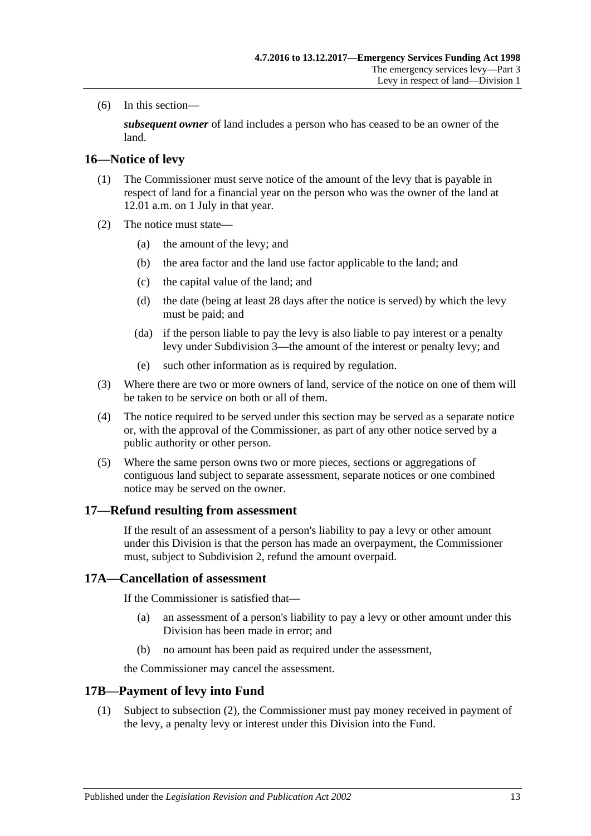(6) In this section—

*subsequent owner* of land includes a person who has ceased to be an owner of the land.

#### <span id="page-12-0"></span>**16—Notice of levy**

- (1) The Commissioner must serve notice of the amount of the levy that is payable in respect of land for a financial year on the person who was the owner of the land at 12.01 a.m. on 1 July in that year.
- (2) The notice must state—
	- (a) the amount of the levy; and
	- (b) the area factor and the land use factor applicable to the land; and
	- (c) the capital value of the land; and
	- (d) the date (being at least 28 days after the notice is served) by which the levy must be paid; and
	- (da) if the person liable to pay the levy is also liable to pay interest or a penalty levy under [Subdivision 3—](#page-14-1)the amount of the interest or penalty levy; and
	- (e) such other information as is required by regulation.
- (3) Where there are two or more owners of land, service of the notice on one of them will be taken to be service on both or all of them.
- (4) The notice required to be served under this section may be served as a separate notice or, with the approval of the Commissioner, as part of any other notice served by a public authority or other person.
- (5) Where the same person owns two or more pieces, sections or aggregations of contiguous land subject to separate assessment, separate notices or one combined notice may be served on the owner.

#### <span id="page-12-1"></span>**17—Refund resulting from assessment**

If the result of an assessment of a person's liability to pay a levy or other amount under this Division is that the person has made an overpayment, the Commissioner must, subject to [Subdivision 2,](#page-13-0) refund the amount overpaid.

#### <span id="page-12-2"></span>**17A—Cancellation of assessment**

If the Commissioner is satisfied that—

- (a) an assessment of a person's liability to pay a levy or other amount under this Division has been made in error; and
- (b) no amount has been paid as required under the assessment,

the Commissioner may cancel the assessment.

#### <span id="page-12-3"></span>**17B—Payment of levy into Fund**

(1) Subject to [subsection](#page-13-5) (2), the Commissioner must pay money received in payment of the levy, a penalty levy or interest under this Division into the Fund.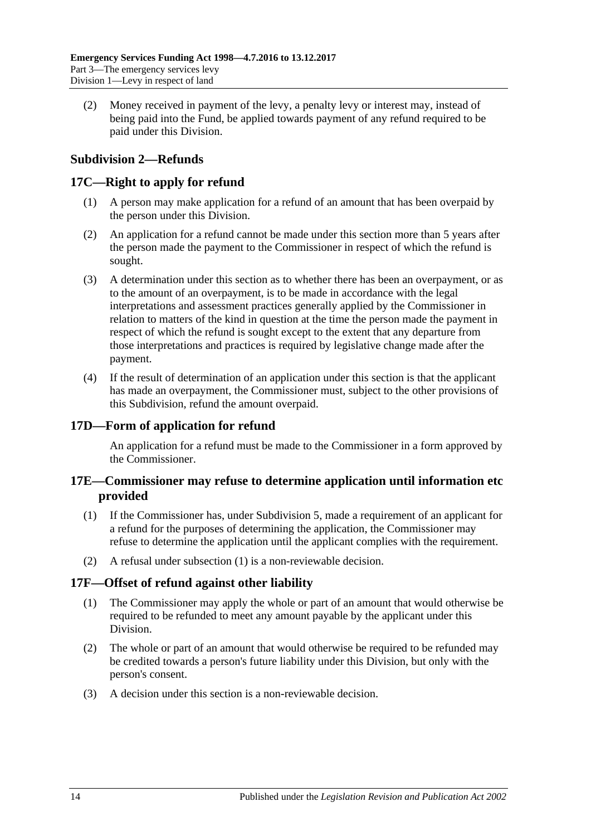<span id="page-13-5"></span>(2) Money received in payment of the levy, a penalty levy or interest may, instead of being paid into the Fund, be applied towards payment of any refund required to be paid under this Division.

# <span id="page-13-0"></span>**Subdivision 2—Refunds**

## <span id="page-13-1"></span>**17C—Right to apply for refund**

- (1) A person may make application for a refund of an amount that has been overpaid by the person under this Division.
- (2) An application for a refund cannot be made under this section more than 5 years after the person made the payment to the Commissioner in respect of which the refund is sought.
- (3) A determination under this section as to whether there has been an overpayment, or as to the amount of an overpayment, is to be made in accordance with the legal interpretations and assessment practices generally applied by the Commissioner in relation to matters of the kind in question at the time the person made the payment in respect of which the refund is sought except to the extent that any departure from those interpretations and practices is required by legislative change made after the payment.
- (4) If the result of determination of an application under this section is that the applicant has made an overpayment, the Commissioner must, subject to the other provisions of this Subdivision, refund the amount overpaid.

### <span id="page-13-2"></span>**17D—Form of application for refund**

An application for a refund must be made to the Commissioner in a form approved by the Commissioner.

### <span id="page-13-3"></span>**17E—Commissioner may refuse to determine application until information etc provided**

- <span id="page-13-6"></span>(1) If the Commissioner has, under [Subdivision 5,](#page-20-3) made a requirement of an applicant for a refund for the purposes of determining the application, the Commissioner may refuse to determine the application until the applicant complies with the requirement.
- (2) A refusal under [subsection](#page-13-6) (1) is a non-reviewable decision.

### <span id="page-13-4"></span>**17F—Offset of refund against other liability**

- (1) The Commissioner may apply the whole or part of an amount that would otherwise be required to be refunded to meet any amount payable by the applicant under this Division.
- (2) The whole or part of an amount that would otherwise be required to be refunded may be credited towards a person's future liability under this Division, but only with the person's consent.
- (3) A decision under this section is a non-reviewable decision.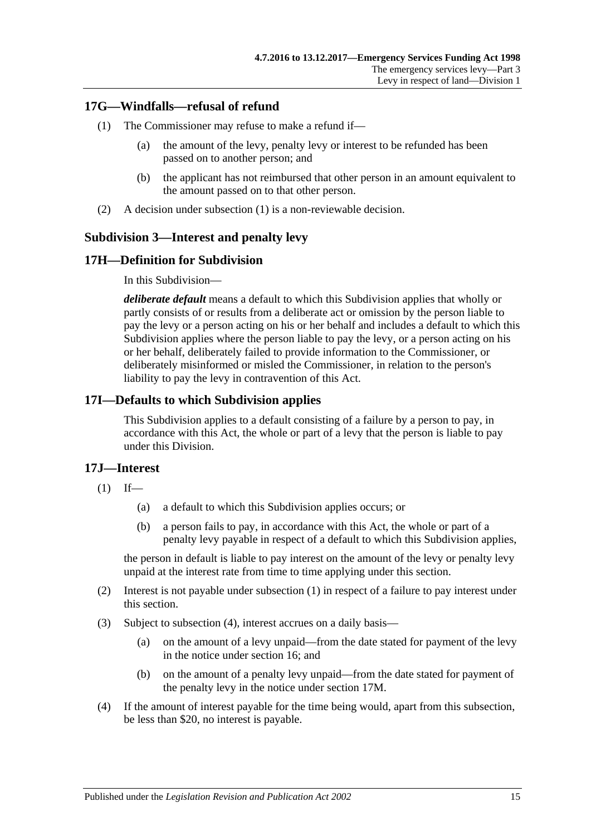# <span id="page-14-5"></span><span id="page-14-0"></span>**17G—Windfalls—refusal of refund**

- (1) The Commissioner may refuse to make a refund if—
	- (a) the amount of the levy, penalty levy or interest to be refunded has been passed on to another person; and
	- (b) the applicant has not reimbursed that other person in an amount equivalent to the amount passed on to that other person.
- (2) A decision under [subsection](#page-14-5) (1) is a non-reviewable decision.

### <span id="page-14-1"></span>**Subdivision 3—Interest and penalty levy**

# <span id="page-14-2"></span>**17H—Definition for Subdivision**

In this Subdivision—

*deliberate default* means a default to which this Subdivision applies that wholly or partly consists of or results from a deliberate act or omission by the person liable to pay the levy or a person acting on his or her behalf and includes a default to which this Subdivision applies where the person liable to pay the levy, or a person acting on his or her behalf, deliberately failed to provide information to the Commissioner, or deliberately misinformed or misled the Commissioner, in relation to the person's liability to pay the levy in contravention of this Act.

### <span id="page-14-3"></span>**17I—Defaults to which Subdivision applies**

This Subdivision applies to a default consisting of a failure by a person to pay, in accordance with this Act, the whole or part of a levy that the person is liable to pay under this Division.

### <span id="page-14-6"></span><span id="page-14-4"></span>**17J—Interest**

- $(1)$  If—
	- (a) a default to which this Subdivision applies occurs; or
	- (b) a person fails to pay, in accordance with this Act, the whole or part of a penalty levy payable in respect of a default to which this Subdivision applies,

the person in default is liable to pay interest on the amount of the levy or penalty levy unpaid at the interest rate from time to time applying under this section.

- (2) Interest is not payable under [subsection](#page-14-6) (1) in respect of a failure to pay interest under this section.
- (3) Subject to [subsection](#page-14-7) (4), interest accrues on a daily basis—
	- (a) on the amount of a levy unpaid—from the date stated for payment of the levy in the notice under [section](#page-12-0) 16; and
	- (b) on the amount of a penalty levy unpaid—from the date stated for payment of the penalty levy in the notice under [section](#page-15-2) 17M.
- <span id="page-14-7"></span>(4) If the amount of interest payable for the time being would, apart from this subsection, be less than \$20, no interest is payable.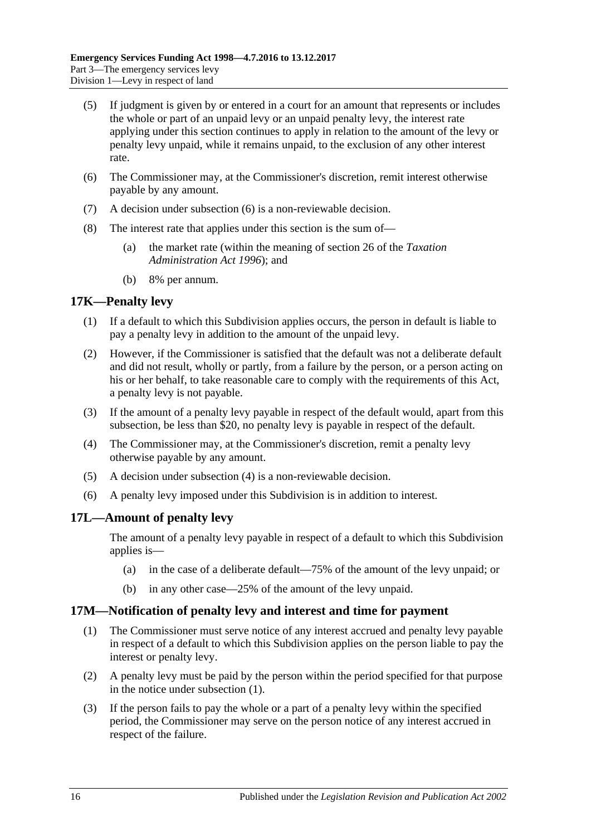- (5) If judgment is given by or entered in a court for an amount that represents or includes the whole or part of an unpaid levy or an unpaid penalty levy, the interest rate applying under this section continues to apply in relation to the amount of the levy or penalty levy unpaid, while it remains unpaid, to the exclusion of any other interest rate.
- <span id="page-15-3"></span>(6) The Commissioner may, at the Commissioner's discretion, remit interest otherwise payable by any amount.
- (7) A decision under [subsection](#page-15-3) (6) is a non-reviewable decision.
- (8) The interest rate that applies under this section is the sum of—
	- (a) the market rate (within the meaning of section 26 of the *[Taxation](http://www.legislation.sa.gov.au/index.aspx?action=legref&type=act&legtitle=Taxation%20Administration%20Act%201996)  [Administration Act](http://www.legislation.sa.gov.au/index.aspx?action=legref&type=act&legtitle=Taxation%20Administration%20Act%201996) 1996*); and
	- (b) 8% per annum.

#### <span id="page-15-0"></span>**17K—Penalty levy**

- (1) If a default to which this Subdivision applies occurs, the person in default is liable to pay a penalty levy in addition to the amount of the unpaid levy.
- (2) However, if the Commissioner is satisfied that the default was not a deliberate default and did not result, wholly or partly, from a failure by the person, or a person acting on his or her behalf, to take reasonable care to comply with the requirements of this Act, a penalty levy is not payable.
- (3) If the amount of a penalty levy payable in respect of the default would, apart from this subsection, be less than \$20, no penalty levy is payable in respect of the default.
- <span id="page-15-4"></span>(4) The Commissioner may, at the Commissioner's discretion, remit a penalty levy otherwise payable by any amount.
- (5) A decision under [subsection](#page-15-4) (4) is a non-reviewable decision.
- (6) A penalty levy imposed under this Subdivision is in addition to interest.

### <span id="page-15-1"></span>**17L—Amount of penalty levy**

The amount of a penalty levy payable in respect of a default to which this Subdivision applies is—

- (a) in the case of a deliberate default—75% of the amount of the levy unpaid; or
- (b) in any other case—25% of the amount of the levy unpaid.

#### <span id="page-15-5"></span><span id="page-15-2"></span>**17M—Notification of penalty levy and interest and time for payment**

- (1) The Commissioner must serve notice of any interest accrued and penalty levy payable in respect of a default to which this Subdivision applies on the person liable to pay the interest or penalty levy.
- (2) A penalty levy must be paid by the person within the period specified for that purpose in the notice under [subsection](#page-15-5) (1).
- (3) If the person fails to pay the whole or a part of a penalty levy within the specified period, the Commissioner may serve on the person notice of any interest accrued in respect of the failure.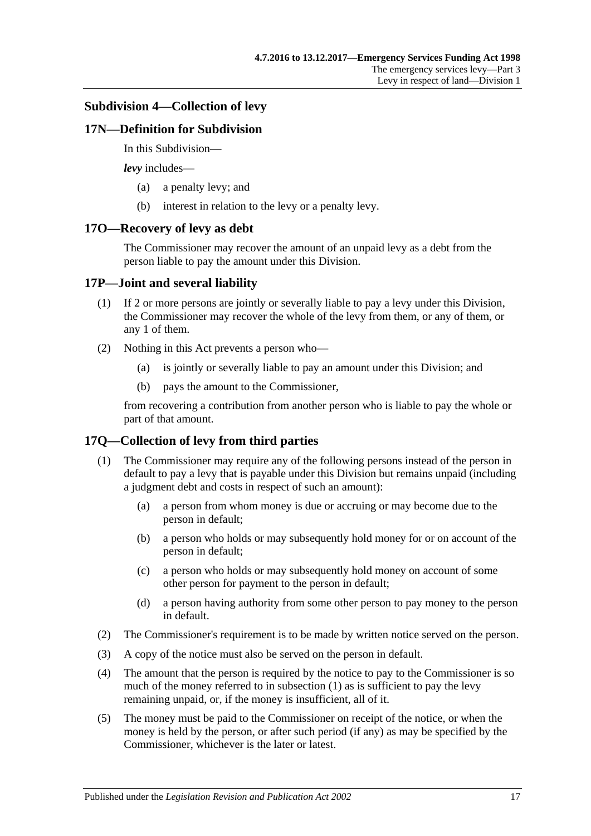#### <span id="page-16-0"></span>**Subdivision 4—Collection of levy**

#### <span id="page-16-1"></span>**17N—Definition for Subdivision**

In this Subdivision—

*levy* includes—

- (a) a penalty levy; and
- (b) interest in relation to the levy or a penalty levy.

#### <span id="page-16-2"></span>**17O—Recovery of levy as debt**

The Commissioner may recover the amount of an unpaid levy as a debt from the person liable to pay the amount under this Division.

#### <span id="page-16-3"></span>**17P—Joint and several liability**

- (1) If 2 or more persons are jointly or severally liable to pay a levy under this Division, the Commissioner may recover the whole of the levy from them, or any of them, or any 1 of them.
- (2) Nothing in this Act prevents a person who—
	- (a) is jointly or severally liable to pay an amount under this Division; and
	- (b) pays the amount to the Commissioner,

from recovering a contribution from another person who is liable to pay the whole or part of that amount.

### <span id="page-16-5"></span><span id="page-16-4"></span>**17Q—Collection of levy from third parties**

- (1) The Commissioner may require any of the following persons instead of the person in default to pay a levy that is payable under this Division but remains unpaid (including a judgment debt and costs in respect of such an amount):
	- (a) a person from whom money is due or accruing or may become due to the person in default;
	- (b) a person who holds or may subsequently hold money for or on account of the person in default;
	- (c) a person who holds or may subsequently hold money on account of some other person for payment to the person in default;
	- (d) a person having authority from some other person to pay money to the person in default.
- (2) The Commissioner's requirement is to be made by written notice served on the person.
- (3) A copy of the notice must also be served on the person in default.
- (4) The amount that the person is required by the notice to pay to the Commissioner is so much of the money referred to in [subsection](#page-16-5) (1) as is sufficient to pay the levy remaining unpaid, or, if the money is insufficient, all of it.
- (5) The money must be paid to the Commissioner on receipt of the notice, or when the money is held by the person, or after such period (if any) as may be specified by the Commissioner, whichever is the later or latest.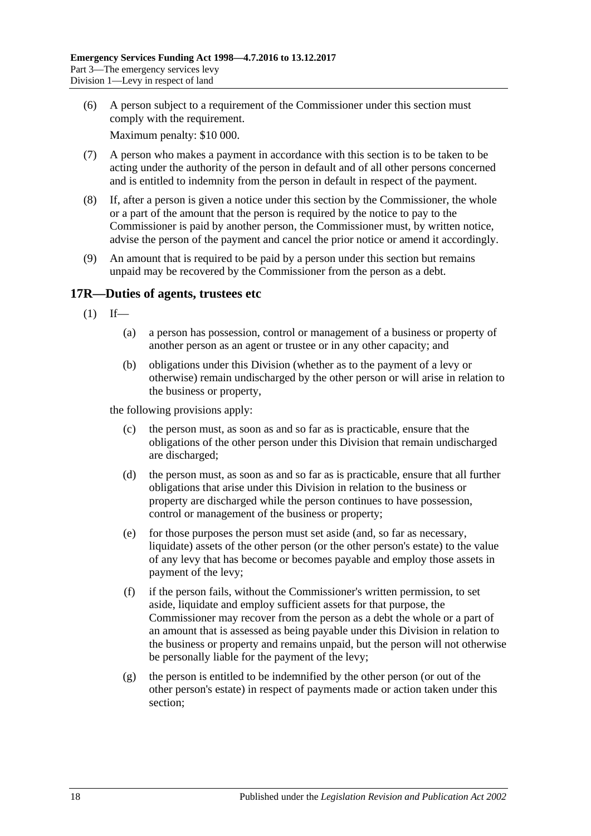(6) A person subject to a requirement of the Commissioner under this section must comply with the requirement.

Maximum penalty: \$10 000.

- (7) A person who makes a payment in accordance with this section is to be taken to be acting under the authority of the person in default and of all other persons concerned and is entitled to indemnity from the person in default in respect of the payment.
- (8) If, after a person is given a notice under this section by the Commissioner, the whole or a part of the amount that the person is required by the notice to pay to the Commissioner is paid by another person, the Commissioner must, by written notice, advise the person of the payment and cancel the prior notice or amend it accordingly.
- (9) An amount that is required to be paid by a person under this section but remains unpaid may be recovered by the Commissioner from the person as a debt.

# <span id="page-17-1"></span><span id="page-17-0"></span>**17R—Duties of agents, trustees etc**

- $(1)$  If—
	- (a) a person has possession, control or management of a business or property of another person as an agent or trustee or in any other capacity; and
	- (b) obligations under this Division (whether as to the payment of a levy or otherwise) remain undischarged by the other person or will arise in relation to the business or property,

the following provisions apply:

- (c) the person must, as soon as and so far as is practicable, ensure that the obligations of the other person under this Division that remain undischarged are discharged;
- (d) the person must, as soon as and so far as is practicable, ensure that all further obligations that arise under this Division in relation to the business or property are discharged while the person continues to have possession, control or management of the business or property;
- (e) for those purposes the person must set aside (and, so far as necessary, liquidate) assets of the other person (or the other person's estate) to the value of any levy that has become or becomes payable and employ those assets in payment of the levy;
- (f) if the person fails, without the Commissioner's written permission, to set aside, liquidate and employ sufficient assets for that purpose, the Commissioner may recover from the person as a debt the whole or a part of an amount that is assessed as being payable under this Division in relation to the business or property and remains unpaid, but the person will not otherwise be personally liable for the payment of the levy;
- (g) the person is entitled to be indemnified by the other person (or out of the other person's estate) in respect of payments made or action taken under this section;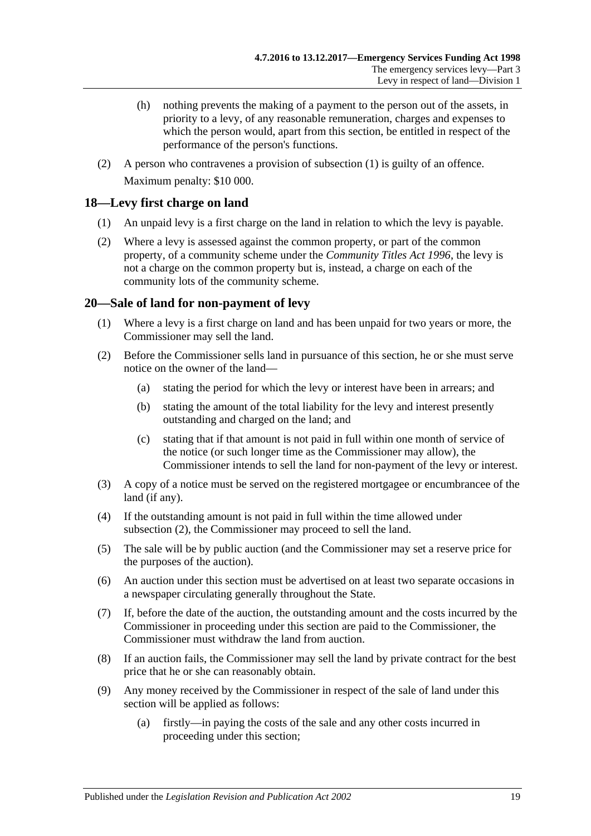- (h) nothing prevents the making of a payment to the person out of the assets, in priority to a levy, of any reasonable remuneration, charges and expenses to which the person would, apart from this section, be entitled in respect of the performance of the person's functions.
- (2) A person who contravenes a provision of [subsection](#page-17-1) (1) is guilty of an offence. Maximum penalty: \$10 000.

# <span id="page-18-0"></span>**18—Levy first charge on land**

- (1) An unpaid levy is a first charge on the land in relation to which the levy is payable.
- (2) Where a levy is assessed against the common property, or part of the common property, of a community scheme under the *[Community Titles Act](http://www.legislation.sa.gov.au/index.aspx?action=legref&type=act&legtitle=Community%20Titles%20Act%201996) 1996*, the levy is not a charge on the common property but is, instead, a charge on each of the community lots of the community scheme.

# <span id="page-18-1"></span>**20—Sale of land for non-payment of levy**

- (1) Where a levy is a first charge on land and has been unpaid for two years or more, the Commissioner may sell the land.
- <span id="page-18-2"></span>(2) Before the Commissioner sells land in pursuance of this section, he or she must serve notice on the owner of the land—
	- (a) stating the period for which the levy or interest have been in arrears; and
	- (b) stating the amount of the total liability for the levy and interest presently outstanding and charged on the land; and
	- (c) stating that if that amount is not paid in full within one month of service of the notice (or such longer time as the Commissioner may allow), the Commissioner intends to sell the land for non-payment of the levy or interest.
- (3) A copy of a notice must be served on the registered mortgagee or encumbrancee of the land (if any).
- (4) If the outstanding amount is not paid in full within the time allowed under [subsection](#page-18-2) (2), the Commissioner may proceed to sell the land.
- (5) The sale will be by public auction (and the Commissioner may set a reserve price for the purposes of the auction).
- (6) An auction under this section must be advertised on at least two separate occasions in a newspaper circulating generally throughout the State.
- (7) If, before the date of the auction, the outstanding amount and the costs incurred by the Commissioner in proceeding under this section are paid to the Commissioner, the Commissioner must withdraw the land from auction.
- (8) If an auction fails, the Commissioner may sell the land by private contract for the best price that he or she can reasonably obtain.
- (9) Any money received by the Commissioner in respect of the sale of land under this section will be applied as follows:
	- (a) firstly—in paying the costs of the sale and any other costs incurred in proceeding under this section;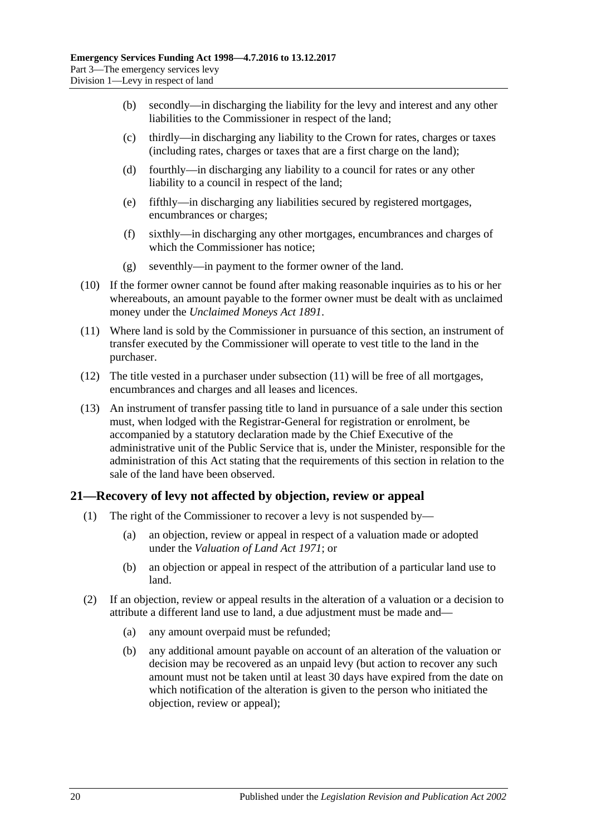- (b) secondly—in discharging the liability for the levy and interest and any other liabilities to the Commissioner in respect of the land;
- (c) thirdly—in discharging any liability to the Crown for rates, charges or taxes (including rates, charges or taxes that are a first charge on the land);
- (d) fourthly—in discharging any liability to a council for rates or any other liability to a council in respect of the land;
- (e) fifthly—in discharging any liabilities secured by registered mortgages, encumbrances or charges;
- (f) sixthly—in discharging any other mortgages, encumbrances and charges of which the Commissioner has notice;
- (g) seventhly—in payment to the former owner of the land.
- (10) If the former owner cannot be found after making reasonable inquiries as to his or her whereabouts, an amount payable to the former owner must be dealt with as unclaimed money under the *[Unclaimed Moneys Act](http://www.legislation.sa.gov.au/index.aspx?action=legref&type=act&legtitle=Unclaimed%20Moneys%20Act%201891) 1891*.
- <span id="page-19-1"></span>(11) Where land is sold by the Commissioner in pursuance of this section, an instrument of transfer executed by the Commissioner will operate to vest title to the land in the purchaser.
- (12) The title vested in a purchaser under [subsection](#page-19-1) (11) will be free of all mortgages, encumbrances and charges and all leases and licences.
- (13) An instrument of transfer passing title to land in pursuance of a sale under this section must, when lodged with the Registrar-General for registration or enrolment, be accompanied by a statutory declaration made by the Chief Executive of the administrative unit of the Public Service that is, under the Minister, responsible for the administration of this Act stating that the requirements of this section in relation to the sale of the land have been observed.

# <span id="page-19-0"></span>**21—Recovery of levy not affected by objection, review or appeal**

- (1) The right of the Commissioner to recover a levy is not suspended by—
	- (a) an objection, review or appeal in respect of a valuation made or adopted under the *[Valuation of Land Act](http://www.legislation.sa.gov.au/index.aspx?action=legref&type=act&legtitle=Valuation%20of%20Land%20Act%201971) 1971*; or
	- (b) an objection or appeal in respect of the attribution of a particular land use to land.
- <span id="page-19-3"></span><span id="page-19-2"></span>(2) If an objection, review or appeal results in the alteration of a valuation or a decision to attribute a different land use to land, a due adjustment must be made and—
	- (a) any amount overpaid must be refunded;
	- (b) any additional amount payable on account of an alteration of the valuation or decision may be recovered as an unpaid levy (but action to recover any such amount must not be taken until at least 30 days have expired from the date on which notification of the alteration is given to the person who initiated the objection, review or appeal);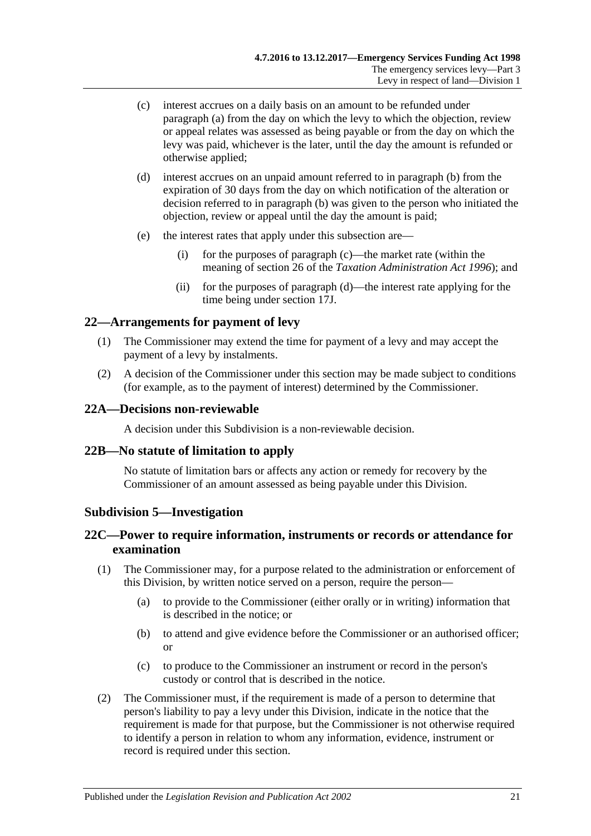- <span id="page-20-5"></span>(c) interest accrues on a daily basis on an amount to be refunded under [paragraph](#page-19-2) (a) from the day on which the levy to which the objection, review or appeal relates was assessed as being payable or from the day on which the levy was paid, whichever is the later, until the day the amount is refunded or otherwise applied;
- <span id="page-20-6"></span>(d) interest accrues on an unpaid amount referred to in [paragraph](#page-19-3) (b) from the expiration of 30 days from the day on which notification of the alteration or decision referred to in [paragraph](#page-19-3) (b) was given to the person who initiated the objection, review or appeal until the day the amount is paid;
- (e) the interest rates that apply under this subsection are—
	- (i) for the purposes of [paragraph](#page-20-5) (c)—the market rate (within the meaning of section 26 of the *[Taxation Administration Act](http://www.legislation.sa.gov.au/index.aspx?action=legref&type=act&legtitle=Taxation%20Administration%20Act%201996) 1996*); and
	- (ii) for the purposes of [paragraph](#page-20-6) (d)—the interest rate applying for the time being under [section](#page-14-4) 17J.

### <span id="page-20-0"></span>**22—Arrangements for payment of levy**

- (1) The Commissioner may extend the time for payment of a levy and may accept the payment of a levy by instalments.
- (2) A decision of the Commissioner under this section may be made subject to conditions (for example, as to the payment of interest) determined by the Commissioner.

#### <span id="page-20-1"></span>**22A—Decisions non-reviewable**

A decision under this Subdivision is a non-reviewable decision.

#### <span id="page-20-2"></span>**22B—No statute of limitation to apply**

No statute of limitation bars or affects any action or remedy for recovery by the Commissioner of an amount assessed as being payable under this Division.

#### <span id="page-20-3"></span>**Subdivision 5—Investigation**

### <span id="page-20-4"></span>**22C—Power to require information, instruments or records or attendance for examination**

- (1) The Commissioner may, for a purpose related to the administration or enforcement of this Division, by written notice served on a person, require the person—
	- (a) to provide to the Commissioner (either orally or in writing) information that is described in the notice; or
	- (b) to attend and give evidence before the Commissioner or an authorised officer; or
	- (c) to produce to the Commissioner an instrument or record in the person's custody or control that is described in the notice.
- (2) The Commissioner must, if the requirement is made of a person to determine that person's liability to pay a levy under this Division, indicate in the notice that the requirement is made for that purpose, but the Commissioner is not otherwise required to identify a person in relation to whom any information, evidence, instrument or record is required under this section.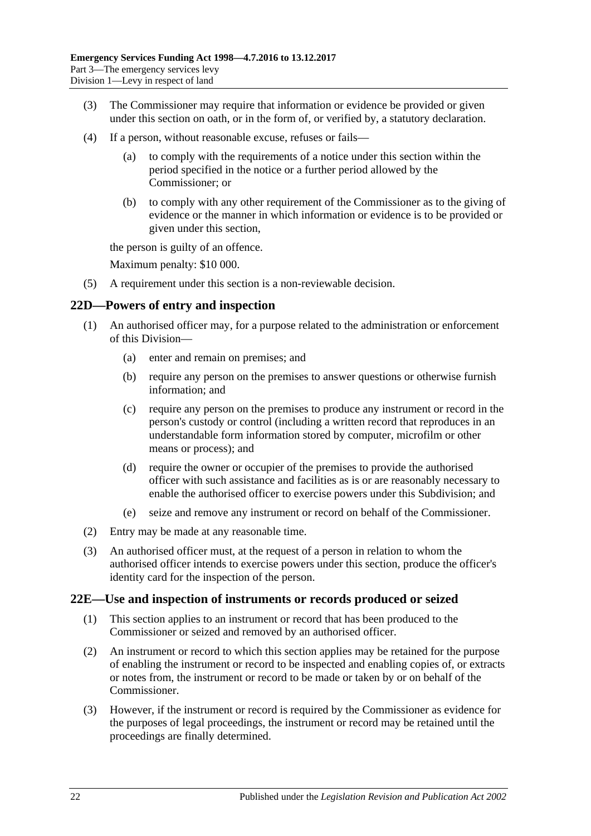- (3) The Commissioner may require that information or evidence be provided or given under this section on oath, or in the form of, or verified by, a statutory declaration.
- (4) If a person, without reasonable excuse, refuses or fails—
	- (a) to comply with the requirements of a notice under this section within the period specified in the notice or a further period allowed by the Commissioner; or
	- (b) to comply with any other requirement of the Commissioner as to the giving of evidence or the manner in which information or evidence is to be provided or given under this section,

the person is guilty of an offence.

Maximum penalty: \$10 000.

(5) A requirement under this section is a non-reviewable decision.

### <span id="page-21-0"></span>**22D—Powers of entry and inspection**

- (1) An authorised officer may, for a purpose related to the administration or enforcement of this Division—
	- (a) enter and remain on premises; and
	- (b) require any person on the premises to answer questions or otherwise furnish information; and
	- (c) require any person on the premises to produce any instrument or record in the person's custody or control (including a written record that reproduces in an understandable form information stored by computer, microfilm or other means or process); and
	- (d) require the owner or occupier of the premises to provide the authorised officer with such assistance and facilities as is or are reasonably necessary to enable the authorised officer to exercise powers under this Subdivision; and
	- (e) seize and remove any instrument or record on behalf of the Commissioner.
- (2) Entry may be made at any reasonable time.
- (3) An authorised officer must, at the request of a person in relation to whom the authorised officer intends to exercise powers under this section, produce the officer's identity card for the inspection of the person.

### <span id="page-21-1"></span>**22E—Use and inspection of instruments or records produced or seized**

- (1) This section applies to an instrument or record that has been produced to the Commissioner or seized and removed by an authorised officer.
- <span id="page-21-2"></span>(2) An instrument or record to which this section applies may be retained for the purpose of enabling the instrument or record to be inspected and enabling copies of, or extracts or notes from, the instrument or record to be made or taken by or on behalf of the Commissioner.
- <span id="page-21-3"></span>(3) However, if the instrument or record is required by the Commissioner as evidence for the purposes of legal proceedings, the instrument or record may be retained until the proceedings are finally determined.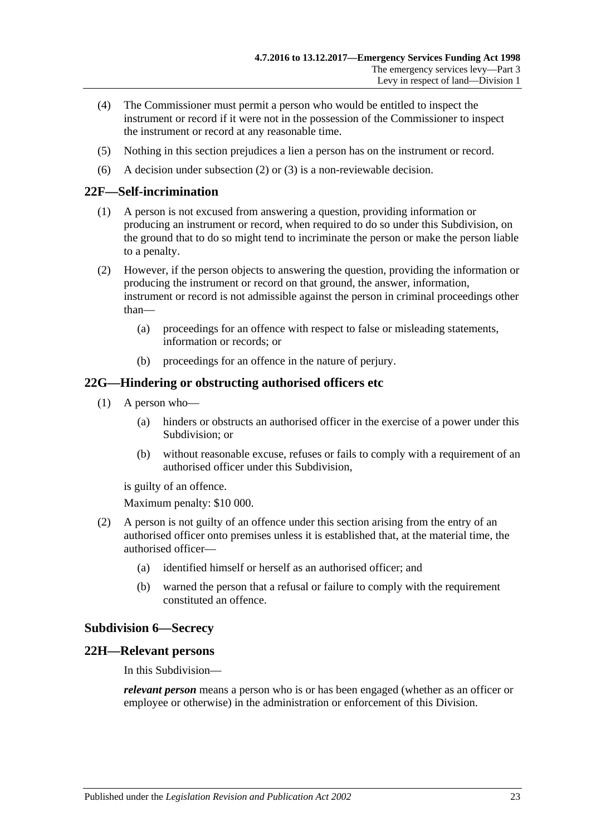- (4) The Commissioner must permit a person who would be entitled to inspect the instrument or record if it were not in the possession of the Commissioner to inspect the instrument or record at any reasonable time.
- (5) Nothing in this section prejudices a lien a person has on the instrument or record.
- (6) A decision under [subsection](#page-21-2) (2) or [\(3\)](#page-21-3) is a non-reviewable decision.

#### <span id="page-22-0"></span>**22F—Self-incrimination**

- (1) A person is not excused from answering a question, providing information or producing an instrument or record, when required to do so under this Subdivision, on the ground that to do so might tend to incriminate the person or make the person liable to a penalty.
- (2) However, if the person objects to answering the question, providing the information or producing the instrument or record on that ground, the answer, information, instrument or record is not admissible against the person in criminal proceedings other than—
	- (a) proceedings for an offence with respect to false or misleading statements, information or records; or
	- (b) proceedings for an offence in the nature of perjury.

#### <span id="page-22-1"></span>**22G—Hindering or obstructing authorised officers etc**

- (1) A person who—
	- (a) hinders or obstructs an authorised officer in the exercise of a power under this Subdivision; or
	- (b) without reasonable excuse, refuses or fails to comply with a requirement of an authorised officer under this Subdivision,

is guilty of an offence.

Maximum penalty: \$10 000.

- (2) A person is not guilty of an offence under this section arising from the entry of an authorised officer onto premises unless it is established that, at the material time, the authorised officer—
	- (a) identified himself or herself as an authorised officer; and
	- (b) warned the person that a refusal or failure to comply with the requirement constituted an offence.

#### <span id="page-22-2"></span>**Subdivision 6—Secrecy**

#### <span id="page-22-3"></span>**22H—Relevant persons**

In this Subdivision—

*relevant person* means a person who is or has been engaged (whether as an officer or employee or otherwise) in the administration or enforcement of this Division.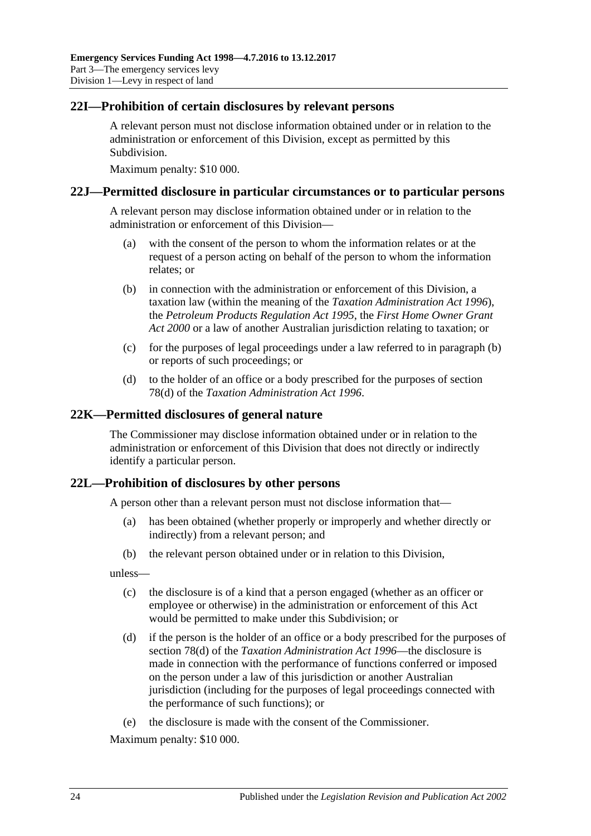#### <span id="page-23-0"></span>**22I—Prohibition of certain disclosures by relevant persons**

A relevant person must not disclose information obtained under or in relation to the administration or enforcement of this Division, except as permitted by this Subdivision.

Maximum penalty: \$10 000.

#### <span id="page-23-1"></span>**22J—Permitted disclosure in particular circumstances or to particular persons**

A relevant person may disclose information obtained under or in relation to the administration or enforcement of this Division—

- (a) with the consent of the person to whom the information relates or at the request of a person acting on behalf of the person to whom the information relates; or
- <span id="page-23-4"></span>(b) in connection with the administration or enforcement of this Division, a taxation law (within the meaning of the *[Taxation Administration Act](http://www.legislation.sa.gov.au/index.aspx?action=legref&type=act&legtitle=Taxation%20Administration%20Act%201996) 1996*), the *[Petroleum Products Regulation Act](http://www.legislation.sa.gov.au/index.aspx?action=legref&type=act&legtitle=Petroleum%20Products%20Regulation%20Act%201995) 1995*, the *[First Home Owner Grant](http://www.legislation.sa.gov.au/index.aspx?action=legref&type=act&legtitle=First%20Home%20Owner%20Grant%20Act%202000)  Act [2000](http://www.legislation.sa.gov.au/index.aspx?action=legref&type=act&legtitle=First%20Home%20Owner%20Grant%20Act%202000)* or a law of another Australian jurisdiction relating to taxation; or
- (c) for the purposes of legal proceedings under a law referred to in [paragraph](#page-23-4) (b) or reports of such proceedings; or
- (d) to the holder of an office or a body prescribed for the purposes of section 78(d) of the *[Taxation Administration Act](http://www.legislation.sa.gov.au/index.aspx?action=legref&type=act&legtitle=Taxation%20Administration%20Act%201996) 1996*.

#### <span id="page-23-2"></span>**22K—Permitted disclosures of general nature**

The Commissioner may disclose information obtained under or in relation to the administration or enforcement of this Division that does not directly or indirectly identify a particular person.

### <span id="page-23-3"></span>**22L—Prohibition of disclosures by other persons**

A person other than a relevant person must not disclose information that—

- (a) has been obtained (whether properly or improperly and whether directly or indirectly) from a relevant person; and
- (b) the relevant person obtained under or in relation to this Division,

unless—

- (c) the disclosure is of a kind that a person engaged (whether as an officer or employee or otherwise) in the administration or enforcement of this Act would be permitted to make under this Subdivision; or
- (d) if the person is the holder of an office or a body prescribed for the purposes of section 78(d) of the *[Taxation Administration Act](http://www.legislation.sa.gov.au/index.aspx?action=legref&type=act&legtitle=Taxation%20Administration%20Act%201996) 1996*—the disclosure is made in connection with the performance of functions conferred or imposed on the person under a law of this jurisdiction or another Australian jurisdiction (including for the purposes of legal proceedings connected with the performance of such functions); or
- (e) the disclosure is made with the consent of the Commissioner.

Maximum penalty: \$10 000.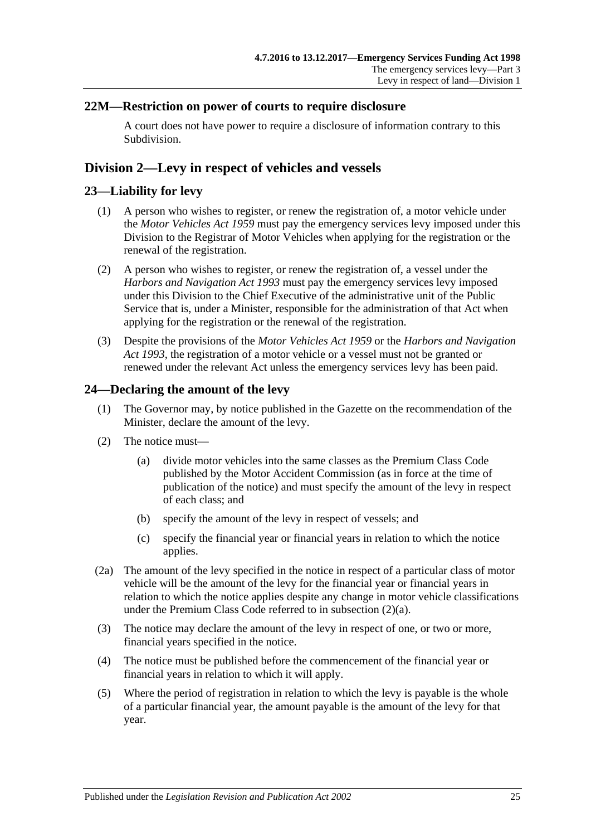## <span id="page-24-0"></span>**22M—Restriction on power of courts to require disclosure**

A court does not have power to require a disclosure of information contrary to this Subdivision.

# <span id="page-24-1"></span>**Division 2—Levy in respect of vehicles and vessels**

## <span id="page-24-2"></span>**23—Liability for levy**

- (1) A person who wishes to register, or renew the registration of, a motor vehicle under the *[Motor Vehicles Act](http://www.legislation.sa.gov.au/index.aspx?action=legref&type=act&legtitle=Motor%20Vehicles%20Act%201959) 1959* must pay the emergency services levy imposed under this Division to the Registrar of Motor Vehicles when applying for the registration or the renewal of the registration.
- (2) A person who wishes to register, or renew the registration of, a vessel under the *[Harbors and Navigation Act](http://www.legislation.sa.gov.au/index.aspx?action=legref&type=act&legtitle=Harbors%20and%20Navigation%20Act%201993) 1993* must pay the emergency services levy imposed under this Division to the Chief Executive of the administrative unit of the Public Service that is, under a Minister, responsible for the administration of that Act when applying for the registration or the renewal of the registration.
- (3) Despite the provisions of the *[Motor Vehicles Act](http://www.legislation.sa.gov.au/index.aspx?action=legref&type=act&legtitle=Motor%20Vehicles%20Act%201959) 1959* or the *[Harbors and Navigation](http://www.legislation.sa.gov.au/index.aspx?action=legref&type=act&legtitle=Harbors%20and%20Navigation%20Act%201993)  Act [1993](http://www.legislation.sa.gov.au/index.aspx?action=legref&type=act&legtitle=Harbors%20and%20Navigation%20Act%201993)*, the registration of a motor vehicle or a vessel must not be granted or renewed under the relevant Act unless the emergency services levy has been paid.

# <span id="page-24-5"></span><span id="page-24-3"></span>**24—Declaring the amount of the levy**

- (1) The Governor may, by notice published in the Gazette on the recommendation of the Minister, declare the amount of the levy.
- <span id="page-24-4"></span>(2) The notice must—
	- (a) divide motor vehicles into the same classes as the Premium Class Code published by the Motor Accident Commission (as in force at the time of publication of the notice) and must specify the amount of the levy in respect of each class; and
	- (b) specify the amount of the levy in respect of vessels; and
	- (c) specify the financial year or financial years in relation to which the notice applies.
- (2a) The amount of the levy specified in the notice in respect of a particular class of motor vehicle will be the amount of the levy for the financial year or financial years in relation to which the notice applies despite any change in motor vehicle classifications under the Premium Class Code referred to in [subsection](#page-24-4) (2)(a).
- (3) The notice may declare the amount of the levy in respect of one, or two or more, financial years specified in the notice.
- (4) The notice must be published before the commencement of the financial year or financial years in relation to which it will apply.
- (5) Where the period of registration in relation to which the levy is payable is the whole of a particular financial year, the amount payable is the amount of the levy for that year.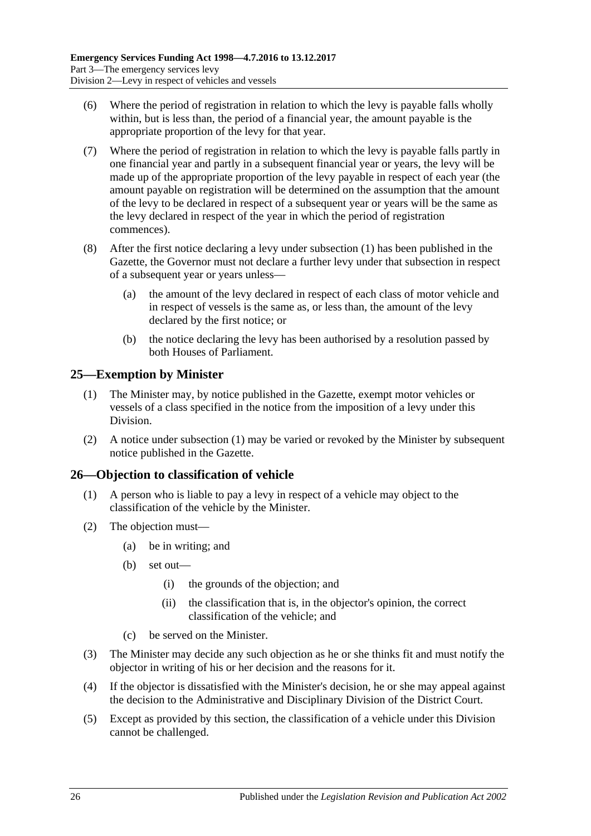- (6) Where the period of registration in relation to which the levy is payable falls wholly within, but is less than, the period of a financial year, the amount payable is the appropriate proportion of the levy for that year.
- (7) Where the period of registration in relation to which the levy is payable falls partly in one financial year and partly in a subsequent financial year or years, the levy will be made up of the appropriate proportion of the levy payable in respect of each year (the amount payable on registration will be determined on the assumption that the amount of the levy to be declared in respect of a subsequent year or years will be the same as the levy declared in respect of the year in which the period of registration commences).
- (8) After the first notice declaring a levy under [subsection](#page-24-5) (1) has been published in the Gazette, the Governor must not declare a further levy under that subsection in respect of a subsequent year or years unless—
	- (a) the amount of the levy declared in respect of each class of motor vehicle and in respect of vessels is the same as, or less than, the amount of the levy declared by the first notice; or
	- (b) the notice declaring the levy has been authorised by a resolution passed by both Houses of Parliament.

# <span id="page-25-2"></span><span id="page-25-0"></span>**25—Exemption by Minister**

- (1) The Minister may, by notice published in the Gazette, exempt motor vehicles or vessels of a class specified in the notice from the imposition of a levy under this Division.
- (2) A notice under [subsection](#page-25-2) (1) may be varied or revoked by the Minister by subsequent notice published in the Gazette.

# <span id="page-25-1"></span>**26—Objection to classification of vehicle**

- (1) A person who is liable to pay a levy in respect of a vehicle may object to the classification of the vehicle by the Minister.
- (2) The objection must—
	- (a) be in writing; and
	- (b) set out—
		- (i) the grounds of the objection; and
		- (ii) the classification that is, in the objector's opinion, the correct classification of the vehicle; and
	- (c) be served on the Minister.
- (3) The Minister may decide any such objection as he or she thinks fit and must notify the objector in writing of his or her decision and the reasons for it.
- (4) If the objector is dissatisfied with the Minister's decision, he or she may appeal against the decision to the Administrative and Disciplinary Division of the District Court.
- (5) Except as provided by this section, the classification of a vehicle under this Division cannot be challenged.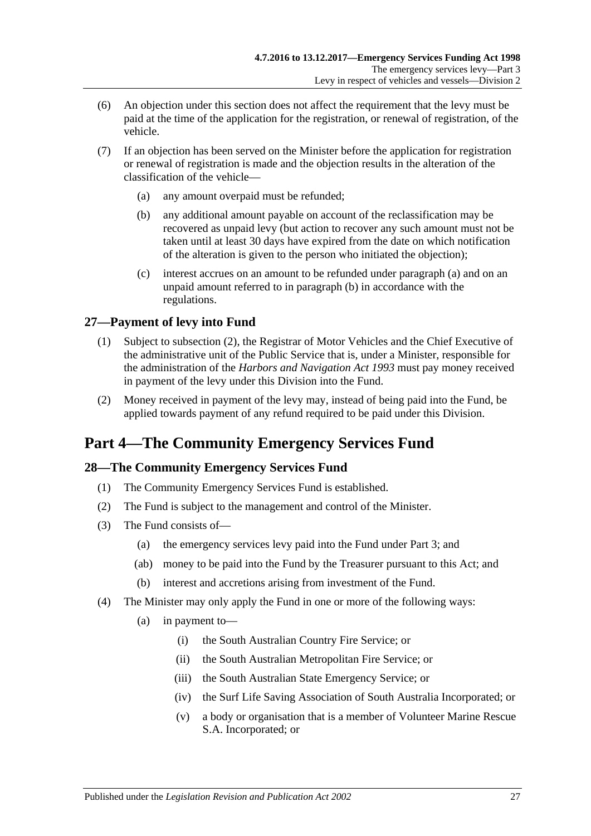- (6) An objection under this section does not affect the requirement that the levy must be paid at the time of the application for the registration, or renewal of registration, of the vehicle.
- <span id="page-26-5"></span><span id="page-26-4"></span>(7) If an objection has been served on the Minister before the application for registration or renewal of registration is made and the objection results in the alteration of the classification of the vehicle—
	- (a) any amount overpaid must be refunded;
	- (b) any additional amount payable on account of the reclassification may be recovered as unpaid levy (but action to recover any such amount must not be taken until at least 30 days have expired from the date on which notification of the alteration is given to the person who initiated the objection);
	- (c) interest accrues on an amount to be refunded under [paragraph](#page-26-4) (a) and on an unpaid amount referred to in [paragraph](#page-26-5) (b) in accordance with the regulations.

# <span id="page-26-0"></span>**27—Payment of levy into Fund**

- (1) Subject to [subsection](#page-26-6) (2), the Registrar of Motor Vehicles and the Chief Executive of the administrative unit of the Public Service that is, under a Minister, responsible for the administration of the *[Harbors and Navigation Act](http://www.legislation.sa.gov.au/index.aspx?action=legref&type=act&legtitle=Harbors%20and%20Navigation%20Act%201993) 1993* must pay money received in payment of the levy under this Division into the Fund.
- <span id="page-26-6"></span>(2) Money received in payment of the levy may, instead of being paid into the Fund, be applied towards payment of any refund required to be paid under this Division.

# <span id="page-26-1"></span>**Part 4—The Community Emergency Services Fund**

# <span id="page-26-2"></span>**28—The Community Emergency Services Fund**

- (1) The Community Emergency Services Fund is established.
- (2) The Fund is subject to the management and control of the Minister.
- (3) The Fund consists of—
	- (a) the emergency services levy paid into the Fund under [Part 3;](#page-4-1) and
	- (ab) money to be paid into the Fund by the Treasurer pursuant to this Act; and
	- (b) interest and accretions arising from investment of the Fund.
- <span id="page-26-3"></span>(4) The Minister may only apply the Fund in one or more of the following ways:
	- (a) in payment to—
		- (i) the South Australian Country Fire Service; or
		- (ii) the South Australian Metropolitan Fire Service; or
		- (iii) the South Australian State Emergency Service; or
		- (iv) the Surf Life Saving Association of South Australia Incorporated; or
		- (v) a body or organisation that is a member of Volunteer Marine Rescue S.A. Incorporated; or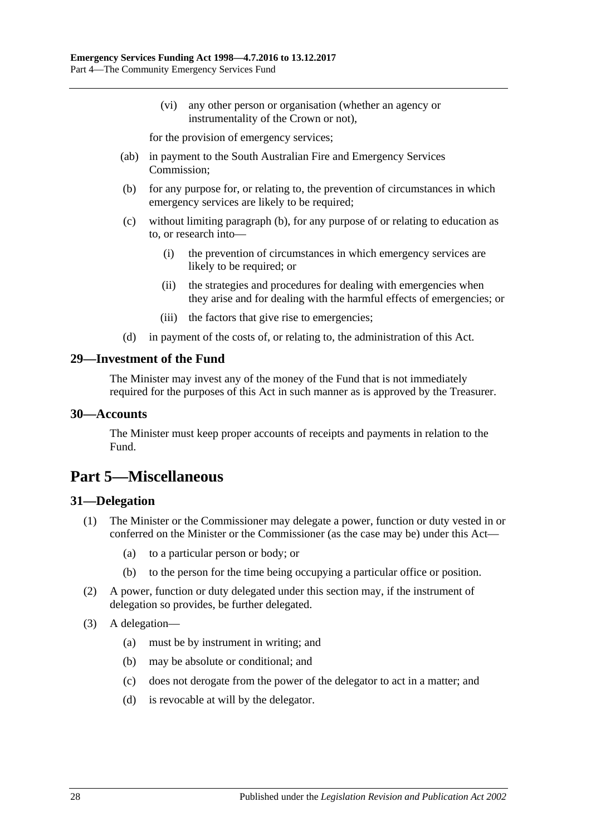(vi) any other person or organisation (whether an agency or instrumentality of the Crown or not),

for the provision of emergency services;

- (ab) in payment to the South Australian Fire and Emergency Services Commission;
- <span id="page-27-4"></span>(b) for any purpose for, or relating to, the prevention of circumstances in which emergency services are likely to be required:
- (c) without limiting [paragraph](#page-27-4) (b), for any purpose of or relating to education as to, or research into—
	- (i) the prevention of circumstances in which emergency services are likely to be required; or
	- (ii) the strategies and procedures for dealing with emergencies when they arise and for dealing with the harmful effects of emergencies; or
	- (iii) the factors that give rise to emergencies;
- (d) in payment of the costs of, or relating to, the administration of this Act.

#### <span id="page-27-0"></span>**29—Investment of the Fund**

The Minister may invest any of the money of the Fund that is not immediately required for the purposes of this Act in such manner as is approved by the Treasurer.

#### <span id="page-27-1"></span>**30—Accounts**

The Minister must keep proper accounts of receipts and payments in relation to the Fund.

# <span id="page-27-2"></span>**Part 5—Miscellaneous**

#### <span id="page-27-3"></span>**31—Delegation**

- (1) The Minister or the Commissioner may delegate a power, function or duty vested in or conferred on the Minister or the Commissioner (as the case may be) under this Act—
	- (a) to a particular person or body; or
	- (b) to the person for the time being occupying a particular office or position.
- (2) A power, function or duty delegated under this section may, if the instrument of delegation so provides, be further delegated.
- (3) A delegation—
	- (a) must be by instrument in writing; and
	- (b) may be absolute or conditional; and
	- (c) does not derogate from the power of the delegator to act in a matter; and
	- (d) is revocable at will by the delegator.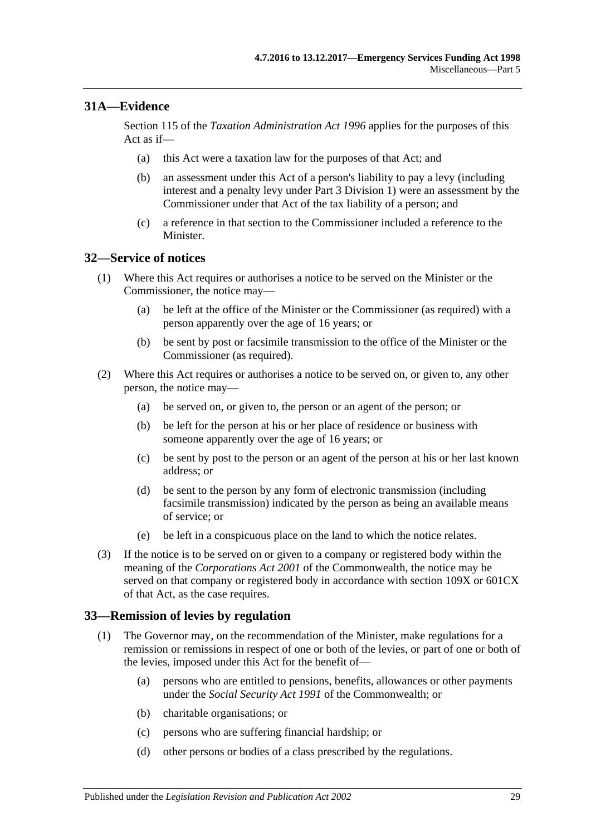# <span id="page-28-0"></span>**31A—Evidence**

Section 115 of the *[Taxation Administration Act](http://www.legislation.sa.gov.au/index.aspx?action=legref&type=act&legtitle=Taxation%20Administration%20Act%201996) 1996* applies for the purposes of this Act as if—

- (a) this Act were a taxation law for the purposes of that Act; and
- (b) an assessment under this Act of a person's liability to pay a levy (including interest and a penalty levy under [Part 3 Division 1\)](#page-4-2) were an assessment by the Commissioner under that Act of the tax liability of a person; and
- (c) a reference in that section to the Commissioner included a reference to the **Minister**

### <span id="page-28-1"></span>**32—Service of notices**

- (1) Where this Act requires or authorises a notice to be served on the Minister or the Commissioner, the notice may—
	- (a) be left at the office of the Minister or the Commissioner (as required) with a person apparently over the age of 16 years; or
	- (b) be sent by post or facsimile transmission to the office of the Minister or the Commissioner (as required).
- (2) Where this Act requires or authorises a notice to be served on, or given to, any other person, the notice may—
	- (a) be served on, or given to, the person or an agent of the person; or
	- (b) be left for the person at his or her place of residence or business with someone apparently over the age of 16 years; or
	- (c) be sent by post to the person or an agent of the person at his or her last known address; or
	- (d) be sent to the person by any form of electronic transmission (including facsimile transmission) indicated by the person as being an available means of service; or
	- (e) be left in a conspicuous place on the land to which the notice relates.
- (3) If the notice is to be served on or given to a company or registered body within the meaning of the *Corporations Act 2001* of the Commonwealth, the notice may be served on that company or registered body in accordance with section 109X or 601CX of that Act, as the case requires.

### <span id="page-28-3"></span><span id="page-28-2"></span>**33—Remission of levies by regulation**

- (1) The Governor may, on the recommendation of the Minister, make regulations for a remission or remissions in respect of one or both of the levies, or part of one or both of the levies, imposed under this Act for the benefit of—
	- (a) persons who are entitled to pensions, benefits, allowances or other payments under the *Social Security Act 1991* of the Commonwealth; or
	- (b) charitable organisations; or
	- (c) persons who are suffering financial hardship; or
	- (d) other persons or bodies of a class prescribed by the regulations.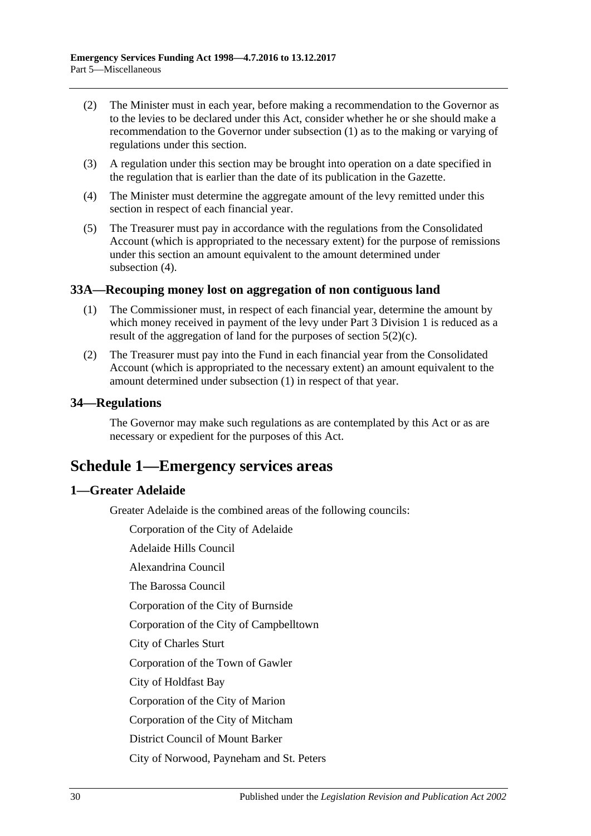- (2) The Minister must in each year, before making a recommendation to the Governor as to the levies to be declared under this Act, consider whether he or she should make a recommendation to the Governor under [subsection](#page-28-3) (1) as to the making or varying of regulations under this section.
- (3) A regulation under this section may be brought into operation on a date specified in the regulation that is earlier than the date of its publication in the Gazette.
- <span id="page-29-4"></span>(4) The Minister must determine the aggregate amount of the levy remitted under this section in respect of each financial year.
- (5) The Treasurer must pay in accordance with the regulations from the Consolidated Account (which is appropriated to the necessary extent) for the purpose of remissions under this section an amount equivalent to the amount determined under [subsection](#page-29-4) (4).

### <span id="page-29-5"></span><span id="page-29-0"></span>**33A—Recouping money lost on aggregation of non contiguous land**

- (1) The Commissioner must, in respect of each financial year, determine the amount by which money received in payment of the levy under [Part 3 Division 1](#page-4-2) is reduced as a result of the aggregation of land for the purposes of [section](#page-4-8)  $5(2)(c)$ .
- (2) The Treasurer must pay into the Fund in each financial year from the Consolidated Account (which is appropriated to the necessary extent) an amount equivalent to the amount determined under [subsection](#page-29-5) (1) in respect of that year.

### <span id="page-29-1"></span>**34—Regulations**

The Governor may make such regulations as are contemplated by this Act or as are necessary or expedient for the purposes of this Act.

# <span id="page-29-2"></span>**Schedule 1—Emergency services areas**

### <span id="page-29-3"></span>**1—Greater Adelaide**

Greater Adelaide is the combined areas of the following councils:

Corporation of the City of Adelaide

Adelaide Hills Council

Alexandrina Council

The Barossa Council

Corporation of the City of Burnside

Corporation of the City of Campbelltown

City of Charles Sturt

Corporation of the Town of Gawler

City of Holdfast Bay

Corporation of the City of Marion

Corporation of the City of Mitcham

District Council of Mount Barker

City of Norwood, Payneham and St. Peters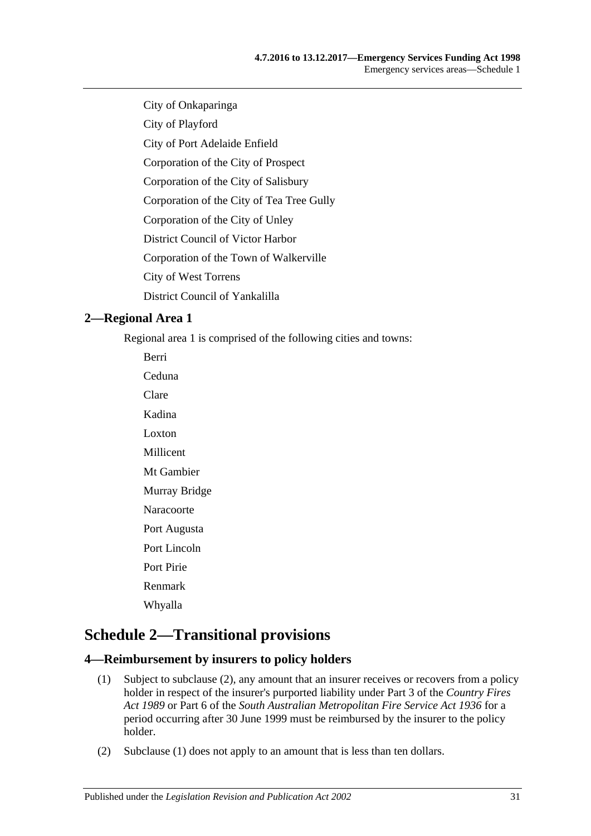City of Onkaparinga

City of Playford

City of Port Adelaide Enfield

Corporation of the City of Prospect

Corporation of the City of Salisbury

Corporation of the City of Tea Tree Gully

Corporation of the City of Unley

District Council of Victor Harbor

Corporation of the Town of Walkerville

City of West Torrens

District Council of Yankalilla

# <span id="page-30-0"></span>**2—Regional Area 1**

Regional area 1 is comprised of the following cities and towns:

Berri Ceduna Clare Kadina Loxton Millicent Mt Gambier Murray Bridge Naracoorte Port Augusta Port Lincoln Port Pirie Renmark Whyalla

# <span id="page-30-1"></span>**Schedule 2—Transitional provisions**

### <span id="page-30-4"></span><span id="page-30-2"></span>**4—Reimbursement by insurers to policy holders**

- (1) Subject to [subclause](#page-30-3) (2), any amount that an insurer receives or recovers from a policy holder in respect of the insurer's purported liability under Part 3 of the *[Country Fires](http://www.legislation.sa.gov.au/index.aspx?action=legref&type=act&legtitle=Country%20Fires%20Act%201989)  Act [1989](http://www.legislation.sa.gov.au/index.aspx?action=legref&type=act&legtitle=Country%20Fires%20Act%201989)* or Part 6 of the *[South Australian Metropolitan Fire Service Act](http://www.legislation.sa.gov.au/index.aspx?action=legref&type=act&legtitle=South%20Australian%20Metropolitan%20Fire%20Service%20Act%201936) 1936* for a period occurring after 30 June 1999 must be reimbursed by the insurer to the policy holder.
- <span id="page-30-3"></span>(2) [Subclause](#page-30-4) (1) does not apply to an amount that is less than ten dollars.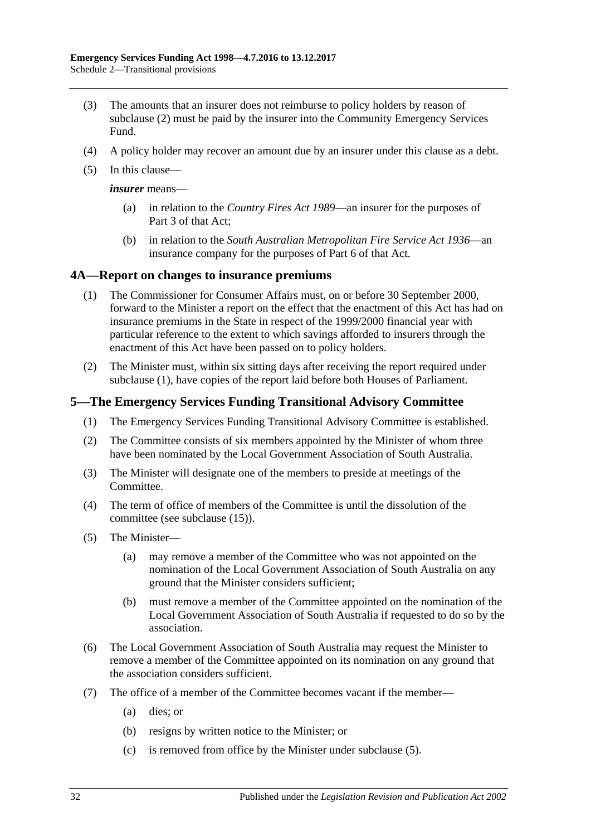- (3) The amounts that an insurer does not reimburse to policy holders by reason of [subclause](#page-30-3) (2) must be paid by the insurer into the Community Emergency Services Fund.
- (4) A policy holder may recover an amount due by an insurer under this clause as a debt.
- (5) In this clause—

*insurer* means—

- (a) in relation to the *[Country Fires Act](http://www.legislation.sa.gov.au/index.aspx?action=legref&type=act&legtitle=Country%20Fires%20Act%201989) 1989*—an insurer for the purposes of Part 3 of that Act;
- (b) in relation to the *[South Australian Metropolitan Fire Service Act](http://www.legislation.sa.gov.au/index.aspx?action=legref&type=act&legtitle=South%20Australian%20Metropolitan%20Fire%20Service%20Act%201936) 1936*—an insurance company for the purposes of Part 6 of that Act.

#### <span id="page-31-2"></span><span id="page-31-0"></span>**4A—Report on changes to insurance premiums**

- (1) The Commissioner for Consumer Affairs must, on or before 30 September 2000, forward to the Minister a report on the effect that the enactment of this Act has had on insurance premiums in the State in respect of the 1999/2000 financial year with particular reference to the extent to which savings afforded to insurers through the enactment of this Act have been passed on to policy holders.
- (2) The Minister must, within six sitting days after receiving the report required under [subclause](#page-31-2) (1), have copies of the report laid before both Houses of Parliament.

### <span id="page-31-1"></span>**5—The Emergency Services Funding Transitional Advisory Committee**

- (1) The Emergency Services Funding Transitional Advisory Committee is established.
- (2) The Committee consists of six members appointed by the Minister of whom three have been nominated by the Local Government Association of South Australia.
- (3) The Minister will designate one of the members to preside at meetings of the Committee.
- (4) The term of office of members of the Committee is until the dissolution of the committee (see [subclause](#page-32-1) (15)).
- <span id="page-31-3"></span>(5) The Minister—
	- (a) may remove a member of the Committee who was not appointed on the nomination of the Local Government Association of South Australia on any ground that the Minister considers sufficient;
	- (b) must remove a member of the Committee appointed on the nomination of the Local Government Association of South Australia if requested to do so by the association.
- (6) The Local Government Association of South Australia may request the Minister to remove a member of the Committee appointed on its nomination on any ground that the association considers sufficient.
- (7) The office of a member of the Committee becomes vacant if the member—
	- (a) dies; or
	- (b) resigns by written notice to the Minister; or
	- (c) is removed from office by the Minister under [subclause](#page-31-3) (5).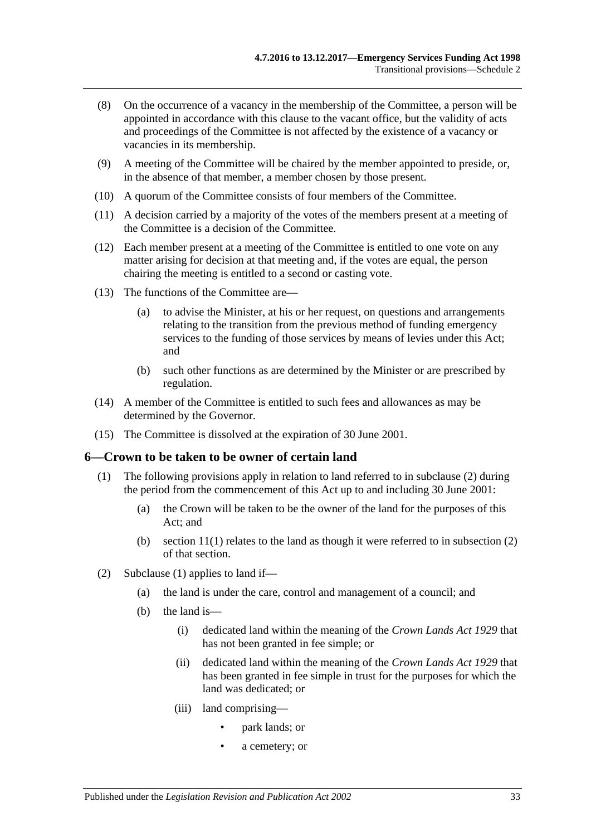- (8) On the occurrence of a vacancy in the membership of the Committee, a person will be appointed in accordance with this clause to the vacant office, but the validity of acts and proceedings of the Committee is not affected by the existence of a vacancy or vacancies in its membership.
- (9) A meeting of the Committee will be chaired by the member appointed to preside, or, in the absence of that member, a member chosen by those present.
- (10) A quorum of the Committee consists of four members of the Committee.
- (11) A decision carried by a majority of the votes of the members present at a meeting of the Committee is a decision of the Committee.
- (12) Each member present at a meeting of the Committee is entitled to one vote on any matter arising for decision at that meeting and, if the votes are equal, the person chairing the meeting is entitled to a second or casting vote.
- (13) The functions of the Committee are—
	- (a) to advise the Minister, at his or her request, on questions and arrangements relating to the transition from the previous method of funding emergency services to the funding of those services by means of levies under this Act; and
	- (b) such other functions as are determined by the Minister or are prescribed by regulation.
- (14) A member of the Committee is entitled to such fees and allowances as may be determined by the Governor.
- <span id="page-32-1"></span>(15) The Committee is dissolved at the expiration of 30 June 2001.

### <span id="page-32-3"></span><span id="page-32-0"></span>**6—Crown to be taken to be owner of certain land**

- (1) The following provisions apply in relation to land referred to in [subclause](#page-32-2) (2) during the period from the commencement of this Act up to and including 30 June 2001:
	- (a) the Crown will be taken to be the owner of the land for the purposes of this Act; and
	- (b) section  $11(1)$  relates to the land as though it were referred to in subsection  $(2)$ of that section.
- <span id="page-32-2"></span>(2) [Subclause](#page-32-3) (1) applies to land if—
	- (a) the land is under the care, control and management of a council; and
	- (b) the land is—
		- (i) dedicated land within the meaning of the *[Crown Lands Act](http://www.legislation.sa.gov.au/index.aspx?action=legref&type=act&legtitle=Crown%20Lands%20Act%201929) 1929* that has not been granted in fee simple; or
		- (ii) dedicated land within the meaning of the *[Crown Lands Act](http://www.legislation.sa.gov.au/index.aspx?action=legref&type=act&legtitle=Crown%20Lands%20Act%201929) 1929* that has been granted in fee simple in trust for the purposes for which the land was dedicated; or
		- (iii) land comprising—
			- park lands; or
			- a cemetery; or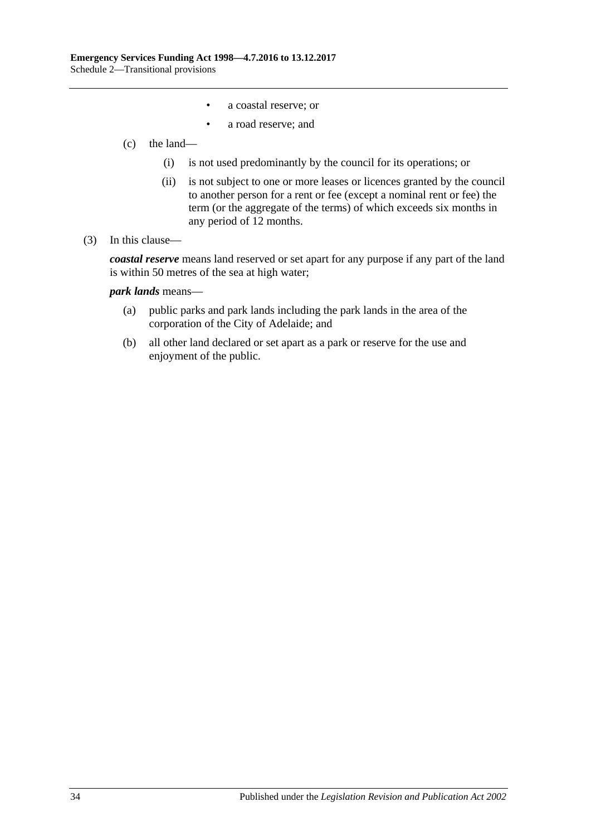- a coastal reserve; or
- a road reserve; and
- (c) the land—
	- (i) is not used predominantly by the council for its operations; or
	- (ii) is not subject to one or more leases or licences granted by the council to another person for a rent or fee (except a nominal rent or fee) the term (or the aggregate of the terms) of which exceeds six months in any period of 12 months.

#### (3) In this clause—

*coastal reserve* means land reserved or set apart for any purpose if any part of the land is within 50 metres of the sea at high water;

*park lands* means—

- (a) public parks and park lands including the park lands in the area of the corporation of the City of Adelaide; and
- (b) all other land declared or set apart as a park or reserve for the use and enjoyment of the public.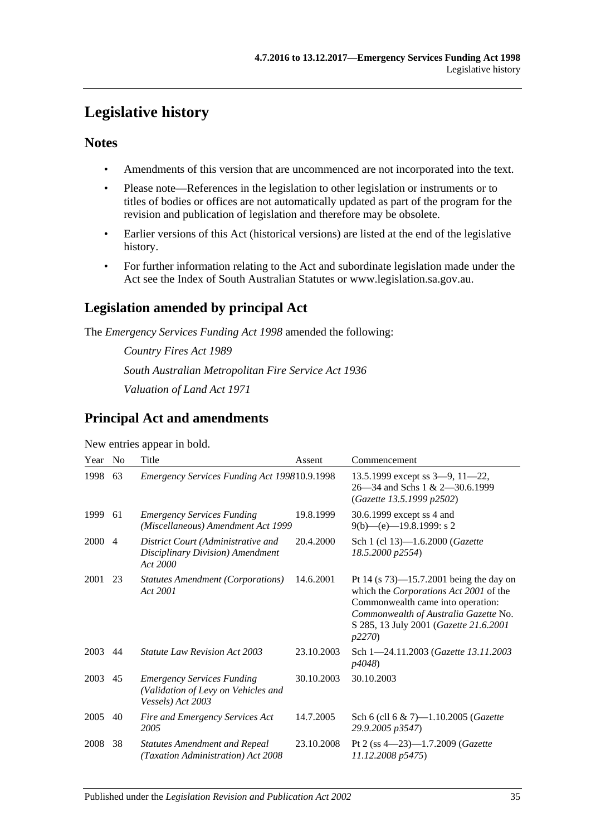# <span id="page-34-0"></span>**Legislative history**

# **Notes**

- Amendments of this version that are uncommenced are not incorporated into the text.
- Please note—References in the legislation to other legislation or instruments or to titles of bodies or offices are not automatically updated as part of the program for the revision and publication of legislation and therefore may be obsolete.
- Earlier versions of this Act (historical versions) are listed at the end of the legislative history.
- For further information relating to the Act and subordinate legislation made under the Act see the Index of South Australian Statutes or www.legislation.sa.gov.au.

# **Legislation amended by principal Act**

The *Emergency Services Funding Act 1998* amended the following:

*Country Fires Act 1989 South Australian Metropolitan Fire Service Act 1936 Valuation of Land Act 1971*

# **Principal Act and amendments**

New entries appear in bold.

| Year | N <sub>0</sub> | Title                                                                                         | Assent     | Commencement                                                                                                                                                                                                           |
|------|----------------|-----------------------------------------------------------------------------------------------|------------|------------------------------------------------------------------------------------------------------------------------------------------------------------------------------------------------------------------------|
| 1998 | 63             | Emergency Services Funding Act 199810.9.1998                                                  |            | 13.5.1999 except ss $3-9$ , $11-22$ ,<br>26—34 and Schs 1 & 2—30.6.1999<br>(Gazette 13.5.1999 p2502)                                                                                                                   |
| 1999 | 61             | <b>Emergency Services Funding</b><br>(Miscellaneous) Amendment Act 1999                       | 19.8.1999  | 30.6.1999 except ss 4 and<br>$9(b)$ —(e)—19.8.1999: s 2                                                                                                                                                                |
| 2000 | $\overline{4}$ | District Court (Administrative and<br>Disciplinary Division) Amendment<br>Act 2000            | 20.4.2000  | Sch 1 (cl 13)-1.6.2000 (Gazette<br>18.5.2000 p2554)                                                                                                                                                                    |
| 2001 | 23             | <b>Statutes Amendment (Corporations)</b><br>Act 2001                                          | 14.6.2001  | Pt 14 (s $73$ )—15.7.2001 being the day on<br>which the Corporations Act 2001 of the<br>Commonwealth came into operation:<br>Commonwealth of Australia Gazette No.<br>S 285, 13 July 2001 (Gazette 21.6.2001<br>p2270) |
| 2003 | 44             | <i>Statute Law Revision Act 2003</i>                                                          | 23.10.2003 | Sch 1-24.11.2003 (Gazette 13.11.2003<br>p4048)                                                                                                                                                                         |
| 2003 | 45             | <b>Emergency Services Funding</b><br>(Validation of Levy on Vehicles and<br>Vessels) Act 2003 | 30.10.2003 | 30.10.2003                                                                                                                                                                                                             |
| 2005 | 40             | Fire and Emergency Services Act<br>2005                                                       | 14.7.2005  | Sch 6 (cll 6 & 7)-1.10.2005 ( <i>Gazette</i><br>29.9.2005 p3547)                                                                                                                                                       |
| 2008 | 38             | <b>Statutes Amendment and Repeal</b><br>(Taxation Administration) Act 2008                    | 23.10.2008 | Pt 2 (ss $4-23$ )-1.7.2009 (Gazette<br>11.12.2008 p5475)                                                                                                                                                               |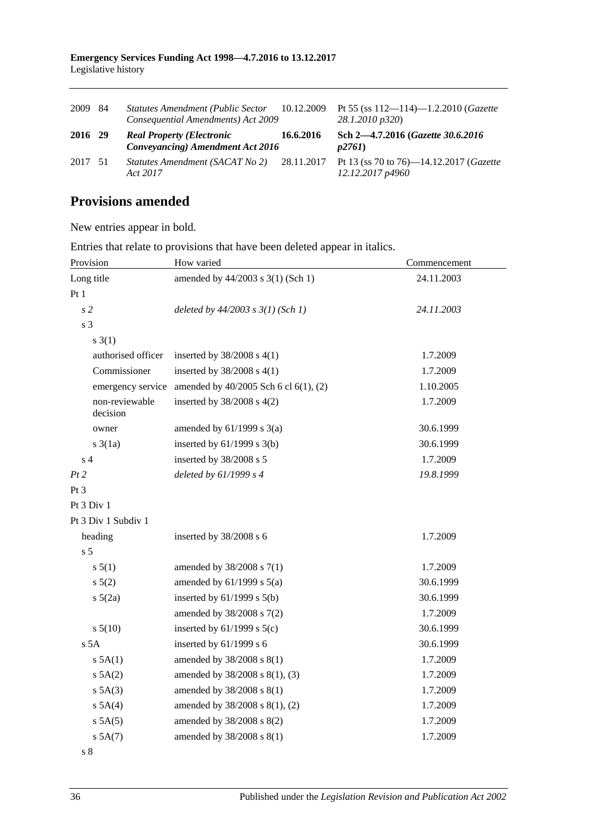| 2009    | -84 | <b>Statutes Amendment (Public Sector</b><br>Consequential Amendments) Act 2009 | 10.12.2009 | Pt 55 (ss $112 - 114$ )-1.2.2010 ( <i>Gazette</i><br>28.1.2010 p320)   |
|---------|-----|--------------------------------------------------------------------------------|------------|------------------------------------------------------------------------|
| 2016 29 |     | <b>Real Property (Electronic</b><br>Conveyancing) Amendment Act 2016           | 16.6.2016  | Sch 2-4.7.2016 (Gazette 30.6.2016)<br>p2761                            |
| 2017 51 |     | Statutes Amendment (SACAT No 2)<br>Act 2017                                    |            | 28.11.2017 Pt 13 (ss 70 to 76)—14.12.2017 (Gazette<br>12.12.2017 p4960 |

# **Provisions amended**

New entries appear in bold.

Entries that relate to provisions that have been deleted appear in italics.

| Provision                          | How varied                            | Commencement |  |
|------------------------------------|---------------------------------------|--------------|--|
| Long title                         | amended by 44/2003 s 3(1) (Sch 1)     | 24.11.2003   |  |
| Pt1                                |                                       |              |  |
| s <sub>2</sub>                     | deleted by $44/2003$ s $3(1)$ (Sch 1) | 24.11.2003   |  |
| s <sub>3</sub>                     |                                       |              |  |
| $s \; 3(1)$                        |                                       |              |  |
| authorised officer                 | inserted by $38/2008$ s $4(1)$        | 1.7.2009     |  |
| Commissioner                       | inserted by $38/2008$ s 4(1)          | 1.7.2009     |  |
| emergency service                  | amended by 40/2005 Sch 6 cl 6(1), (2) | 1.10.2005    |  |
| non-reviewable<br>decision         | inserted by $38/2008$ s $4(2)$        | 1.7.2009     |  |
| owner                              | amended by $61/1999$ s $3(a)$         | 30.6.1999    |  |
| $s \frac{3}{1a}$                   | inserted by $61/1999$ s $3(b)$        | 30.6.1999    |  |
| $\ensuremath{\mathrm{s}}\xspace$ 4 | inserted by 38/2008 s 5               | 1.7.2009     |  |
| Pt2                                | deleted by $61/1999 s 4$              | 19.8.1999    |  |
| Pt <sub>3</sub>                    |                                       |              |  |
| Pt 3 Div 1                         |                                       |              |  |
| Pt 3 Div 1 Subdiv 1                |                                       |              |  |
| heading                            | inserted by 38/2008 s 6               | 1.7.2009     |  |
| s <sub>5</sub>                     |                                       |              |  |
| s 5(1)                             | amended by 38/2008 s 7(1)             | 1.7.2009     |  |
| s 5(2)                             | amended by $61/1999$ s $5(a)$         | 30.6.1999    |  |
| $s\ 5(2a)$                         | inserted by $61/1999$ s $5(b)$        | 30.6.1999    |  |
|                                    | amended by 38/2008 s 7(2)             | 1.7.2009     |  |
| s 5(10)                            | inserted by $61/1999$ s $5(c)$        | 30.6.1999    |  |
| s <sub>5A</sub>                    | inserted by 61/1999 s 6               | 30.6.1999    |  |
| $s$ 5A(1)                          | amended by 38/2008 s 8(1)             | 1.7.2009     |  |
| s 5A(2)                            | amended by 38/2008 s 8(1), (3)        | 1.7.2009     |  |
| $s$ 5A(3)                          | amended by 38/2008 s 8(1)             | 1.7.2009     |  |
| $s$ 5A(4)                          | amended by 38/2008 s 8(1), (2)        | 1.7.2009     |  |
| $s$ 5A(5)                          | amended by 38/2008 s 8(2)             | 1.7.2009     |  |
| $s$ 5A $(7)$                       | amended by 38/2008 s 8(1)             | 1.7.2009     |  |
| $\sqrt{s}$ 8                       |                                       |              |  |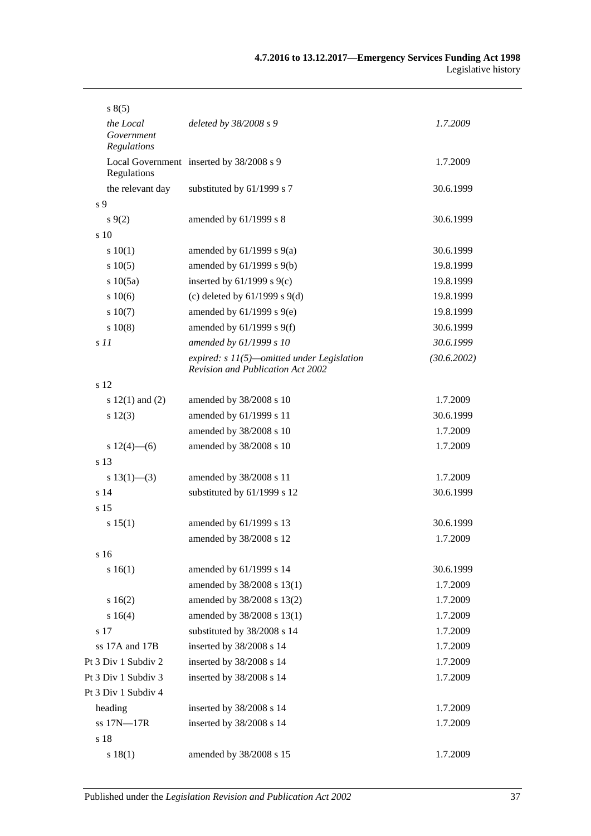| s(5)                                   |                                                                                   |             |
|----------------------------------------|-----------------------------------------------------------------------------------|-------------|
| the Local<br>Government<br>Regulations | deleted by 38/2008 s 9                                                            | 1.7.2009    |
| Regulations                            | Local Government inserted by 38/2008 s 9                                          | 1.7.2009    |
| the relevant day                       | substituted by 61/1999 s 7                                                        | 30.6.1999   |
| s 9                                    |                                                                                   |             |
| s(9(2)                                 | amended by 61/1999 s 8                                                            | 30.6.1999   |
| $\frac{10}{2}$                         |                                                                                   |             |
| 10(1)                                  | amended by $61/1999$ s $9(a)$                                                     | 30.6.1999   |
| s 10(5)                                | amended by 61/1999 s 9(b)                                                         | 19.8.1999   |
| s 10(5a)                               | inserted by $61/1999$ s $9(c)$                                                    | 19.8.1999   |
| s 10(6)                                | (c) deleted by $61/1999$ s $9(d)$                                                 | 19.8.1999   |
| s 10(7)                                | amended by $61/1999$ s $9(e)$                                                     | 19.8.1999   |
| s 10(8)                                | amended by $61/1999$ s $9(f)$                                                     | 30.6.1999   |
| s11                                    | amended by 61/1999 s 10                                                           | 30.6.1999   |
|                                        | expired: $s$ 11(5)—omitted under Legislation<br>Revision and Publication Act 2002 | (30.6.2002) |
| s 12                                   |                                                                                   |             |
| s $12(1)$ and $(2)$                    | amended by 38/2008 s 10                                                           | 1.7.2009    |
| s 12(3)                                | amended by 61/1999 s 11                                                           | 30.6.1999   |
|                                        | amended by 38/2008 s 10                                                           | 1.7.2009    |
| s $12(4)$ - (6)                        | amended by 38/2008 s 10                                                           | 1.7.2009    |
| s 13                                   |                                                                                   |             |
| s $13(1)$ — $(3)$                      | amended by 38/2008 s 11                                                           | 1.7.2009    |
| s 14                                   | substituted by 61/1999 s 12                                                       | 30.6.1999   |
| s 15                                   |                                                                                   |             |
| s 15(1)                                | amended by 61/1999 s 13                                                           | 30.6.1999   |
|                                        | amended by 38/2008 s 12                                                           | 1.7.2009    |
| s 16                                   |                                                                                   |             |
| s 16(1)                                | amended by 61/1999 s 14                                                           | 30.6.1999   |
|                                        | amended by 38/2008 s 13(1)                                                        | 1.7.2009    |
| s 16(2)                                | amended by 38/2008 s 13(2)                                                        | 1.7.2009    |
| s 16(4)                                | amended by 38/2008 s 13(1)                                                        | 1.7.2009    |
| s 17                                   | substituted by 38/2008 s 14                                                       | 1.7.2009    |
| ss 17A and 17B                         | inserted by 38/2008 s 14                                                          | 1.7.2009    |
| Pt 3 Div 1 Subdiv 2                    | inserted by 38/2008 s 14                                                          | 1.7.2009    |
| Pt 3 Div 1 Subdiv 3                    | inserted by 38/2008 s 14                                                          | 1.7.2009    |
| Pt 3 Div 1 Subdiv 4                    |                                                                                   |             |
| heading                                | inserted by 38/2008 s 14                                                          | 1.7.2009    |
| ss 17N-17R                             | inserted by 38/2008 s 14                                                          | 1.7.2009    |
| s 18                                   |                                                                                   |             |
| s 18(1)                                | amended by 38/2008 s 15                                                           | 1.7.2009    |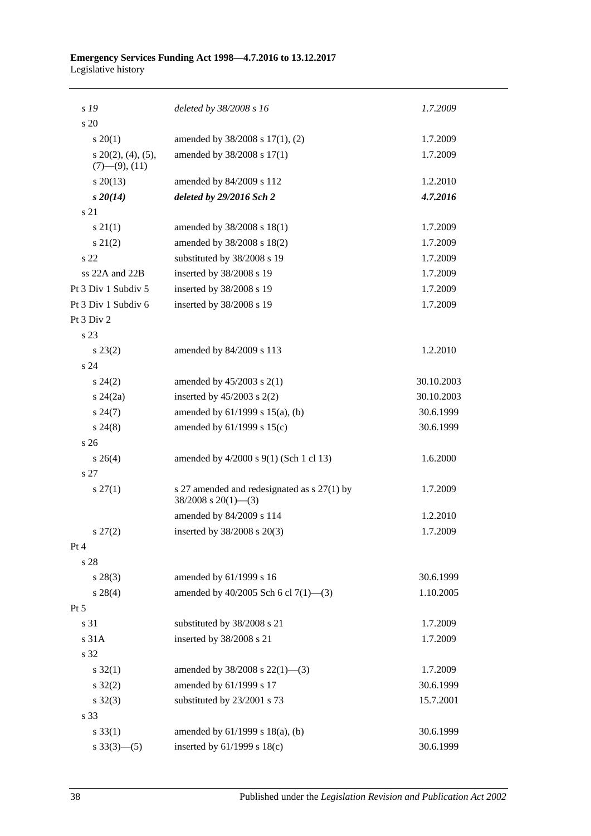#### **Emergency Services Funding Act 1998—4.7.2016 to 13.12.2017** Legislative history

| s 19                                           | deleted by 38/2008 s 16                                                   | 1.7.2009   |
|------------------------------------------------|---------------------------------------------------------------------------|------------|
| s 20                                           |                                                                           |            |
| $s \ 20(1)$                                    | amended by 38/2008 s 17(1), (2)                                           | 1.7.2009   |
| $s$ 20(2), (4), (5),<br>$(7)$ — $(9)$ , $(11)$ | amended by 38/2008 s 17(1)                                                | 1.7.2009   |
| $s\,20(13)$                                    | amended by 84/2009 s 112                                                  | 1.2.2010   |
| $s\,20(14)$                                    | deleted by 29/2016 Sch 2                                                  | 4.7.2016   |
| s 21                                           |                                                                           |            |
| s 21(1)                                        | amended by 38/2008 s 18(1)                                                | 1.7.2009   |
| $s\ 21(2)$                                     | amended by 38/2008 s 18(2)                                                | 1.7.2009   |
| s <sub>22</sub>                                | substituted by 38/2008 s 19                                               | 1.7.2009   |
| ss 22A and 22B                                 | inserted by 38/2008 s 19                                                  | 1.7.2009   |
| Pt 3 Div 1 Subdiv 5                            | inserted by 38/2008 s 19                                                  | 1.7.2009   |
| Pt 3 Div 1 Subdiv 6                            | inserted by 38/2008 s 19                                                  | 1.7.2009   |
| Pt 3 Div 2                                     |                                                                           |            |
| s 23                                           |                                                                           |            |
| $s\,23(2)$                                     | amended by 84/2009 s 113                                                  | 1.2.2010   |
| s 24                                           |                                                                           |            |
| $s\,24(2)$                                     | amended by $45/2003$ s $2(1)$                                             | 30.10.2003 |
| $s\,24(2a)$                                    | inserted by $45/2003$ s $2(2)$                                            | 30.10.2003 |
| $s\,24(7)$                                     | amended by 61/1999 s 15(a), (b)                                           | 30.6.1999  |
| $s\,24(8)$                                     | amended by 61/1999 s 15(c)                                                | 30.6.1999  |
| s <sub>26</sub>                                |                                                                           |            |
| $s \; 26(4)$                                   | amended by 4/2000 s 9(1) (Sch 1 cl 13)                                    | 1.6.2000   |
| s 27                                           |                                                                           |            |
| $s \, 27(1)$                                   | s 27 amended and redesignated as $s$ 27(1) by<br>$38/2008$ s $20(1)$ —(3) | 1.7.2009   |
|                                                | amended by 84/2009 s 114                                                  | 1.2.2010   |
| $s\,27(2)$                                     | inserted by 38/2008 s 20(3)                                               | 1.7.2009   |
| Pt 4                                           |                                                                           |            |
| s 28                                           |                                                                           |            |
| $s\,28(3)$                                     | amended by 61/1999 s 16                                                   | 30.6.1999  |
| $s\,28(4)$                                     | amended by 40/2005 Sch 6 cl 7(1)-(3)                                      | 1.10.2005  |
| $Pt\,5$                                        |                                                                           |            |
| s 31                                           | substituted by 38/2008 s 21                                               | 1.7.2009   |
| s 31A                                          | inserted by 38/2008 s 21                                                  | 1.7.2009   |
| s 32                                           |                                                                           |            |
| $s \, 32(1)$                                   | amended by $38/2008$ s $22(1)$ —(3)                                       | 1.7.2009   |
| $s \, 32(2)$                                   | amended by 61/1999 s 17                                                   | 30.6.1999  |
| $s \, 32(3)$                                   | substituted by 23/2001 s 73                                               | 15.7.2001  |
| s 33                                           |                                                                           |            |
| $s \, 33(1)$                                   | amended by 61/1999 s 18(a), (b)                                           | 30.6.1999  |
| $s \frac{33(3) - (5)}{ }$                      | inserted by 61/1999 s 18(c)                                               | 30.6.1999  |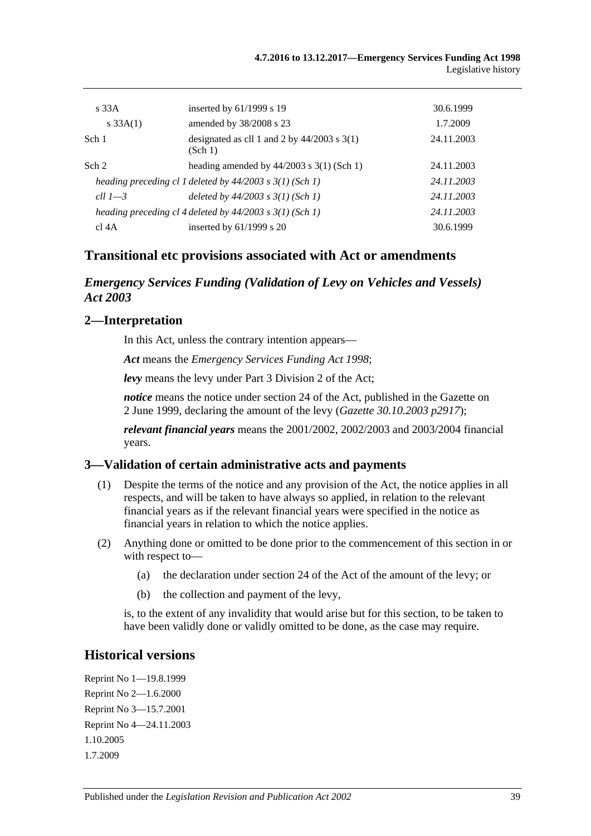| $\overline{s}$ 33A | inserted by $61/1999$ s 19                                   | 30.6.1999  |
|--------------------|--------------------------------------------------------------|------------|
| $s \, 33A(1)$      | amended by 38/2008 s 23                                      | 1.7.2009   |
| Sch 1              | designated as cll 1 and 2 by $44/2003$ s 3(1)<br>(Sch 1)     | 24.11.2003 |
| Sch 2              | heading amended by $44/2003$ s 3(1) (Sch 1)                  | 24.11.2003 |
|                    | heading preceding cl 1 deleted by $44/2003$ s $3(1)$ (Sch 1) | 24.11.2003 |
| cll $1-3$          | deleted by $44/2003$ s $3(1)$ (Sch 1)                        | 24.11.2003 |
|                    | heading preceding cl 4 deleted by $44/2003$ s $3(1)$ (Sch 1) | 24.11.2003 |
| cl 4A              | inserted by $61/1999$ s 20                                   | 30.6.1999  |

### **Transitional etc provisions associated with Act or amendments**

#### *Emergency Services Funding (Validation of Levy on Vehicles and Vessels) Act 2003*

#### **2—Interpretation**

In this Act, unless the contrary intention appears—

*Act* means the *[Emergency Services Funding Act](http://www.legislation.sa.gov.au/index.aspx?action=legref&type=act&legtitle=Emergency%20Services%20Funding%20Act%201998) 1998*;

*levy* means the levy under Part 3 Division 2 of the Act;

*notice* means the notice under section 24 of the Act, published in the Gazette on 2 June 1999, declaring the amount of the levy (*Gazette 30.10.2003 p2917*);

*relevant financial years* means the 2001/2002, 2002/2003 and 2003/2004 financial years.

#### **3—Validation of certain administrative acts and payments**

- (1) Despite the terms of the notice and any provision of the Act, the notice applies in all respects, and will be taken to have always so applied, in relation to the relevant financial years as if the relevant financial years were specified in the notice as financial years in relation to which the notice applies.
- (2) Anything done or omitted to be done prior to the commencement of this section in or with respect to—
	- (a) the declaration under section 24 of the Act of the amount of the levy; or
	- (b) the collection and payment of the levy,

is, to the extent of any invalidity that would arise but for this section, to be taken to have been validly done or validly omitted to be done, as the case may require.

#### **Historical versions**

Reprint No 1—19.8.1999 Reprint No 2—1.6.2000 Reprint No 3—15.7.2001 Reprint No 4—24.11.2003 1.10.2005 1.7.2009